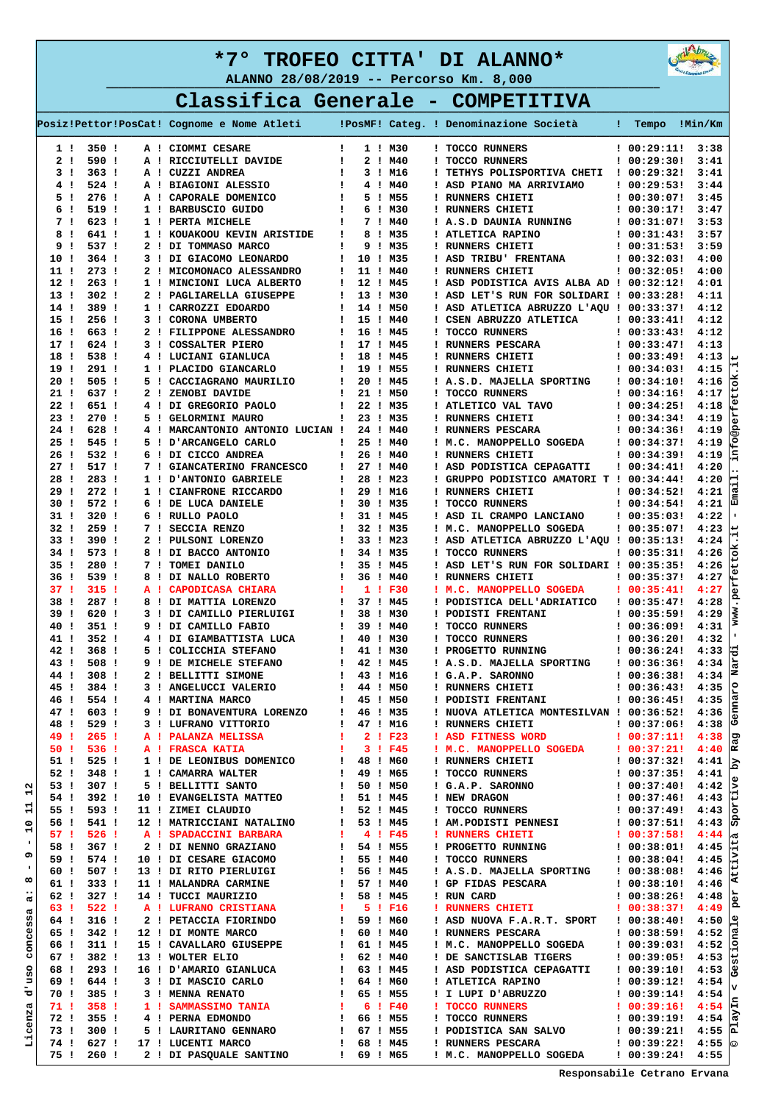



**Classifica Generale - COMPETITIVA** 

|                                 |                          |    | Posiz!Pettor!PosCat! Cognome e Nome Atleti     |                              |                       | !PosMF! Categ. ! Denominazione Società                 | Tempo<br>H.                | !Min/Km            |
|---------------------------------|--------------------------|----|------------------------------------------------|------------------------------|-----------------------|--------------------------------------------------------|----------------------------|--------------------|
| 1!                              | 350 !                    |    | A ! CIOMMI CESARE                              | $\mathbf{I}$                 | 1 ! M30               | ! TOCCO RUNNERS                                        | : 00:29:11!                | 3:38               |
| 2 <sub>1</sub>                  | 590!                     |    | A ! RICCIUTELLI DAVIDE                         | -1                           | 2 ! M40               | ! TOCCO RUNNERS                                        | ! 00:29:30!                | 3:41               |
| 3 I                             | 363 <sub>1</sub>         |    | A ! CUZZI ANDREA                               | ÷                            | 3 ! M16               | ! TETHYS POLISPORTIVA CHETI                            | ! 00:29:32!                | 3:41               |
| 4!                              | 524 !                    |    | A ! BIAGIONI ALESSIO                           | -1                           | 4 ! M40               | ! ASD PIANO MA ARRIVIAMO                               | 100:29:531                 | 3:44               |
| 5!<br>6                         | 276 <sub>1</sub><br>519! |    | A ! CAPORALE DOMENICO                          | -1                           | 5 ! M55<br>6 ! M30    | ! RUNNERS CHIETI                                       | ! 00:30:07!                | 3:45<br>3:47       |
| - 1<br>7!                       | 623 !                    |    | 1 ! BARBUSCIO GUIDO<br>1 ! PERTA MICHELE       | Ţ.<br>÷                      | 7 ! M40               | ! RUNNERS CHIETI<br>! A.S.D DAUNIA RUNNING             | ! 00:30:17!<br>! 00:31:07! | 3:53               |
| 8<br>- 1                        | 641!                     |    | 1 ! KOUAKOOU KEVIN ARISTIDE                    | ÷                            | 8 ! M35               | ! ATLETICA RAPINO                                      | : 00:31:43!                | 3:57               |
| 9<br>- 1                        | 537 !                    |    | 2 ! DI TOMMASO MARCO                           | $\mathbf{I}$                 | 9 ! M35               | ! RUNNERS CHIETI                                       | : 00:31:53!                | 3:59               |
| 10!                             | $364$ !                  |    | 3 ! DI GIACOMO LEONARDO                        | ÷                            | 10 ! M35              | ! ASD TRIBU' FRENTANA                                  | ! 00:32:03!                | 4:00               |
| 11 !                            | 273 <sub>1</sub>         |    | 2 ! MICOMONACO ALESSANDRO                      | ÷                            | 11 ! M40              | ! RUNNERS CHIETI                                       | ! 00:32:05!                | 4:00               |
| 12!                             | 263 <sub>1</sub>         |    | 1 ! MINCIONI LUCA ALBERTO                      | $\mathbf{I}$                 | 12 ! M45              | ! ASD PODISTICA AVIS ALBA AD ! 00:32:12!               |                            | 4:01               |
| 13 !                            | 302 <sub>1</sub>         | 2! | PAGLIARELLA GIUSEPPE                           | $\mathbf{I}$                 | 13 ! M30              | ! ASD LET'S RUN FOR SOLIDARI ! 00:33:28!               |                            | 4:11               |
| 14!                             | 389!                     |    | 1 ! CARROZZI EDOARDO                           | $\mathbf{I}$                 | 14 ! M50              | ! ASD ATLETICA ABRUZZO L'AQU ! 00:33:37!               |                            | 4:12               |
| 15 <sub>1</sub>                 | $256$ !                  |    | 3 ! CORONA UMBERTO                             | $\mathbf{I}$                 | 15 ! M40              | ! CSEN ABRUZZO ATLETICA                                | : 00:33:41!                | 4:12               |
| 16!                             | 663!                     |    | 2 ! FILIPPONE ALESSANDRO                       | $\mathbf{I}$                 | 16 ! M45              | ! TOCCO RUNNERS                                        | ! 00:33:43!                | 4:12               |
| 17!                             | 624 !                    |    | 3 ! COSSALTER PIERO                            | $\mathbf{I}$                 | 17 ! M45              | ! RUNNERS PESCARA                                      | 100:33:47!                 | 4:13               |
| 18<br>- 1                       | 538 !                    | 4! | LUCIANI GIANLUCA                               | -1                           | 18 ! M45              | ! RUNNERS CHIETI                                       | : 00:33:49!                | 4:13               |
| 19!                             | 291!                     |    | 1 ! PLACIDO GIANCARLO                          | $\mathbf{I}$                 | 19 ! M55              | ! RUNNERS CHIETI                                       | 100:34:031                 | 4:15               |
| 20!<br>21!                      | 505!<br>637 !            |    | 5 ! CACCIAGRANO MAURILIO                       | $\mathbf{I}$<br>$\mathbf{I}$ | 20 ! M45<br>21 ! M50  | ! A.S.D. MAJELLA SPORTING<br>! TOCCO RUNNERS           | : 00:34:10!<br>100:34:161  | 4:16<br>4:17       |
| 22!                             | 651 !                    | 2! | ZENOBI DAVIDE<br>4 ! DI GREGORIO PAOLO         | $\mathbf{I}$                 | 22 ! M35              | ! ATLETICO VAL TAVO                                    | 100:34:251                 | 4:18               |
| 23 !                            | 270 <sub>1</sub>         |    | 5 ! GELORMINI MAURO                            | ÷                            | 23 ! M35              | ! RUNNERS CHIETI                                       | : 00:34:34!                | ٠Ŵ<br>4:19         |
| 24!                             | 628 !                    |    | 4 ! MARCANTONIO ANTONIO LUCIAN !               |                              | 24 ! M40              | ! RUNNERS PESCARA                                      | ! 00:34:36!                | 4:19               |
| 25!                             | 545!                     |    | 5 ! D'ARCANGELO CARLO                          | ÷                            | 25 ! M40              | ! M.C. MANOPPELLO SOGEDA                               | 100:34:371                 | 4:19               |
| 26<br>$\mathbf{I}$              | 532 !                    |    | 6 ! DI CICCO ANDREA                            | $\mathbf{I}$                 | 26 ! M40              | ! RUNNERS CHIETI                                       | : 00:34:39!                | info@p<br>4:19     |
| 27 !                            | 517!                     |    | 7 ! GIANCATERINO FRANCESCO                     | ÷                            | 27 ! M40              | ! ASD PODISTICA CEPAGATTI                              | : 00:34:41!                | 4:20               |
| 28!                             | 283!                     |    | 1 ! D'ANTONIO GABRIELE                         | ÷                            | 28 ! M23              | ! GRUPPO PODISTICO AMATORI T ! 00:34:44!               |                            | 4:20               |
| 29<br>- 1                       | 272 <sub>1</sub>         |    | 1 ! CIANFRONE RICCARDO                         | -1                           | 29 ! M16              | ! RUNNERS CHIETI                                       | 100:34:521                 | 4:21               |
| 30!                             | 572!                     |    | 6 ! DE LUCA DANIELE                            | $\mathbf{I}$                 | 30 ! M35              | ! TOCCO RUNNERS                                        | 100:34:541                 | 4:21               |
| 31 I                            | 320 !                    |    | 6 ! RULLO PAOLO                                | ÷                            | 31 ! M45              | ! ASD IL CRAMPO LANCIANO                               | 100:35:031                 | 4:22               |
| 32!                             | $259$ !                  |    | 7 ! SECCIA RENZO                               | $\mathbf{I}$                 | 32 ! M35              | ! M.C. MANOPPELLO SOGEDA                               | 100:35:07!                 | 4:23               |
| 33 !                            | 390!                     |    | 2 ! PULSONI LORENZO                            | $\mathbf{I}$                 | 33 ! M23              | ! ASD ATLETICA ABRUZZO L'AQU ! 00:35:13!               |                            | 4:24               |
| 34 !                            | 573!                     |    | 8 ! DI BACCO ANTONIO                           | -1                           | 34 ! M35              | ! TOCCO RUNNERS                                        | : 00:35:31!                | 4:26               |
| 35 I                            | 280!                     |    | 7 ! TOMEI DANILO                               | ÷                            | 35 ! M45              | ! ASD LET'S RUN FOR SOLIDARI ! 00:35:35!               |                            | 4:26               |
| 36 I<br>37!                     | 539!<br>315.1            |    | 8 ! DI NALLO ROBERTO                           | ÷<br>÷                       | 36 ! M40<br>1! F30    | ! RUNNERS CHIETI                                       | 100:35:371<br>100:35:41!   | 4:27<br>۴Ū<br>4:27 |
| 38<br>$\mathbf{I}$              | 287!                     |    | A ! CAPODICASA CHIARA<br>8 ! DI MATTIA LORENZO | -1                           | 37 ! M45              | ! M.C. MANOPPELLO SOGEDA<br>! PODISTICA DELL'ADRIATICO | 100:35:47!                 | 4:28               |
| 39 !                            | 620 !                    |    | 3 ! DI CAMILLO PIERLUIGI                       | $\mathbf{I}$                 | 38 ! M30              | ! PODISTI FRENTANI                                     | 100:35:591                 | 4:29               |
| 40 !                            | $351$ !                  |    | 9 ! DI CAMILLO FABIO                           | ÷                            | 39 ! M40              | ! TOCCO RUNNERS                                        | 100:36:091                 | 4:31               |
| 41!                             | $352$ !                  |    | 4 ! DI GIAMBATTISTA LUCA                       | $\mathbf{I}$                 | 40 ! M30              | ! TOCCO RUNNERS                                        | : 00:36:20!                | 4:32               |
| 42!                             | 368!                     |    | 5 ! COLICCHIA STEFANO                          | ÷                            | 41 ! M30              | ! PROGETTO RUNNING                                     | 100:36:241                 | 4:33               |
| 43 !                            | 508 !                    |    | 9 ! DE MICHELE STEFANO                         | $\mathbf{I}$                 | 42 ! M45              | ! A.S.D. MAJELLA SPORTING                              | ! 00:36:36!                | 4:34               |
| 44 !                            | 308 !                    |    | 2 ! BELLITTI SIMONE                            | ÷                            | 43 ! M16              | ! G.A.P. SARONNO                                       | 100:36:381                 | 4:34               |
| 45!                             | 384 !                    |    | 3 ! ANGELUCCI VALERIO                          | $\mathbf{I}$                 | 44 ! M50              | ! RUNNERS CHIETI                                       | ! 00:36:43!                | 4:35               |
| 46 !                            | 554 !                    |    | 4 ! MARTINA MARCO                              | ÷                            | 45 ! M50              | ! PODISTI FRENTANI                                     | 100:36:45!                 | 4:35               |
| 47!                             | 603 !                    |    | 9 ! DI BONAVENTURA LORENZO                     | $\mathbf{I}$                 | 46 ! M35              | ! NUOVA ATLETICA MONTESILVAN ! 00:36:52!               |                            | enna<br>4:36       |
| 48 !                            | 529 !                    |    | 3 ! LUFRANO VITTORIO                           | $\mathbf{I}$                 | 47 ! M16              | ! RUNNERS CHIETI                                       | : 00:37:06!                | ŀō<br>4:38         |
| 49!                             | $265$ !                  |    | A ! PALANZA MELISSA                            | л.                           | $2 \cdot 1 \cdot F23$ | ! ASD FITNESS WORD                                     | 100:37:111                 | ס<br>4:38          |
| 50 I                            | 536 !                    |    | A ! FRASCA KATIA                               | ч.                           | 3 ! F45               | ! M.C. MANOPPELLO SOGEDA                               | 100:37:211                 | 4:40<br>ĸ          |
| 51 !                            | 525!                     |    | 1 ! DE LEONIBUS DOMENICO                       | ! 48 ! M60                   |                       | ! RUNNERS CHIETI                                       | : 00:37:32!                | 4:41               |
| 52!                             | 348 !                    |    | 1 ! CAMARRA WALTER<br>5 ! BELLITTI SANTO       | $\mathbf{I}$                 | 49 ! M65              | ! TOCCO RUNNERS                                        | : 00:37:35!<br>! 00:37:40! | 4:41<br>g<br>4:42  |
| 53 !<br>N<br>54 !               | 307 !<br>392!            |    | 10 ! EVANGELISTA MATTEO                        | $\mathbf{I}$<br>$\mathbf{I}$ | 50 ! M50<br>51 ! M45  | ! G.A.P. SARONNO<br>! NEW DRAGON                       | ! 00:37:46!                | は<br>4:43          |
| 55 !                            | 593!                     |    | 11 ! ZIMEI CLAUDIO                             | $\mathbf{I}$                 | 52 ! M45              | ! TOCCO RUNNERS                                        | : 00:37:49!                | 4:43               |
| 56 !                            | 541!                     |    | 12 ! MATRICCIANI NATALINO                      | $\mathbf{I}$                 | 53 ! M45              | ! AM. PODISTI PENNESI                                  | : 00:37:51!                | zods<br>4:43       |
| Н<br>57!                        | $526$ !                  |    | A ! SPADACCINI BARBARA                         | л.                           | 4 ! F45               | ! RUNNERS CHIETI                                       | : 00:37:58!                | 4:44<br> ≀ඦ        |
| 58!                             | 367!                     |    | 2 ! DI NENNO GRAZIANO                          | $\mathbf{I}$                 | 54 ! M55              | ! PROGETTO RUNNING                                     | ! 00:38:01!                | 4:45               |
| 59!                             | 574!                     |    | 10 ! DI CESARE GIACOMO                         | ÷                            | 55 ! M40              | ! TOCCO RUNNERS                                        | ! 00:38:04!                | ivit<br>4:45       |
| 60 I                            | 507!                     |    | 13 ! DI RITO PIERLUIGI                         | $\mathbf{I}$                 | 56 ! M45              | ! A.S.D. MAJELLA SPORTING                              | ! 00:38:08!                | Att.<br>4:46       |
| $\infty$<br>61 !                | 333 !                    |    | 11 ! MALANDRA CARMINE                          | $\mathbf{I}$                 | 57 ! M40              | ! GP FIDAS PESCARA                                     | : 00:38:10!                | 4:46               |
| 62!<br>ದ                        | 327 !                    |    | 14 ! TUCCI MAURIZIO                            | $\mathbf{I}$                 | 58 ! M45              | ! RUN CARD                                             | : 00:38:26!                | ដូ<br>4:48         |
| 63!<br>۲Ó                       | 522!                     |    | A ! LUFRANO CRISTIANA                          | -11                          | 5 ! F16               | ! RUNNERS CHIETI                                       | : 00:38:37!                | ρ,<br>4:49         |
| w<br>64 !<br>w                  | $316$ !                  |    | 2 ! PETACCIA FIORINDO                          | $\mathbf{I}$                 | 59 ! M60              | ! ASD NUOVA F.A.R.T. SPORT                             | : 00:38:40!                | 4:50               |
| $\overline{\mathbf{0}}$<br>65 ! | 342!                     |    | 12 ! DI MONTE MARCO                            | $\mathbf{I}$                 | 60 ! M40              | ! RUNNERS PESCARA                                      | : 00:38:59!                | 4:52<br>ā<br>8     |
| conc<br>66 !                    | 311:                     |    | 15 ! CAVALLARO GIUSEPPE                        | $\mathbf{I}$                 | 61 ! M45              | ! M.C. MANOPPELLO SOGEDA                               | : 00:39:03!                | 4:52               |
| 67 !                            | 382!                     |    | 13 ! WOLTER ELIO                               | $\mathbf{I}$                 | 62 ! M40              | ! DE SANCTISLAB TIGERS                                 | : 00:39:05!                | نبا<br>4:53        |
| 8ġ<br>68 !                      | $293$ !                  |    | 16 ! D'AMARIO GIANLUCA                         | $\mathbf{I}$                 | 63 ! M45              | ! ASD PODISTICA CEPAGATTI                              | : 00:39:10!                | 4:53<br>႕မွ        |
| F<br>69!                        | 644 !                    |    | 3 ! DI MASCIO CARLO                            | $\mathbf{I}$                 | 64 ! M60              | ! ATLETICA RAPINO                                      | : 00:39:12!                | 4:54               |
| ರ<br>70 I                       | 385 !                    |    | 3 ! MENNA RENATO                               | $\mathbf{I}$                 | 65 ! M55              | ! I LUPI D'ABRUZZO                                     | : 00:39:14!                | 4:54<br>넘          |
| 71 !                            | 358!                     |    | 1 ! SAMMASSIMO TANIA                           | -11                          | 6 ! F40               | ! TOCCO RUNNERS                                        | : 00:39:16!                | 4:54<br>15         |
| Licenz<br>72 I<br>73 !          | 355!<br>300 !            |    | 4 ! PERNA EDMONDO<br>5 ! LAURITANO GENNARO     | $\mathbf{I}$<br>$\mathbf{I}$ | 66 ! M55<br>67 ! M55  | ! TOCCO RUNNERS<br>! PODISTICA SAN SALVO               | : 00:39:19!<br>: 00:39:21! | 4:54<br>넙<br>4:55  |
| 74 !                            | 627!                     |    | 17 ! LUCENTI MARCO                             | ÷                            | 68 ! M45              | ! RUNNERS PESCARA                                      | : 00:39:22!                | $4:55$   $\circ$   |
| 75!                             | $260$ !                  |    | 2 ! DI PASQUALE SANTINO                        | $\mathbf{I}$                 | 69 ! M65              | ! M.C. MANOPPELLO SOGEDA                               | : 00:39:24!                | 4:55               |
|                                 |                          |    |                                                |                              |                       |                                                        |                            |                    |

 **Responsabile Cetrano Ervana**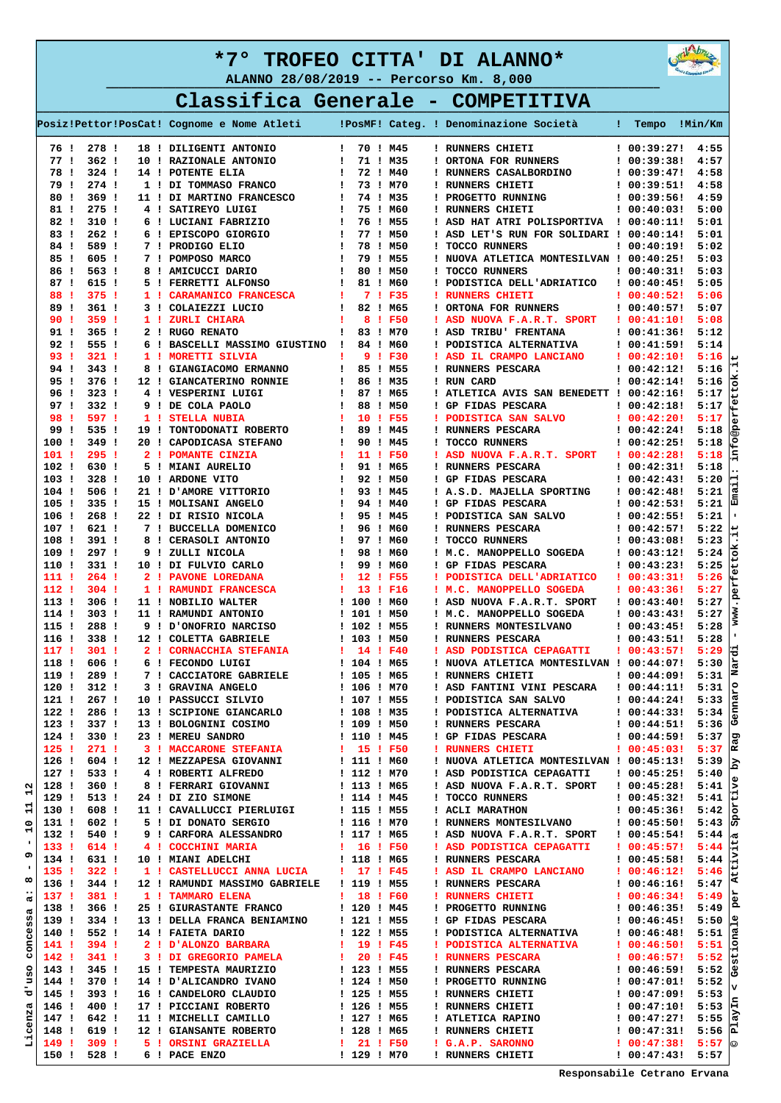



|      |                  |  |                                            |  |  |          | Classifica Generale - COMPETITIVA      |                |        |
|------|------------------|--|--------------------------------------------|--|--|----------|----------------------------------------|----------------|--------|
|      |                  |  | Posiz!Pettor!PosCat! Cognome e Nome Atleti |  |  |          | !PosMF! Categ. ! Denominazione Società | Tempo          | Min/Km |
| 761  | 278 !            |  | 18 ! DILIGENTI ANTONIO                     |  |  | 70 ! M45 | ! RUNNERS CHIETI                       | 100:39:27!4:55 |        |
| 77 I | 362 <sub>1</sub> |  | 10 ! RAZIONALE ANTONIO                     |  |  | 71 ! M35 | ! ORTONA FOR RUNNERS                   | 100:39:3814:57 |        |
| 78 I | $324$ !          |  | 14 ! POTENTE ELIA                          |  |  | 72 ! M40 | ! RUNNERS CASALBORDINO                 | 100:39:4714:58 |        |
| 791  | 274 !            |  | 1 ! DI TOMMASO FRANCO                      |  |  | 73 I M70 | ! RUNNERS CHIETI                       | 100:39:5114:58 |        |

|                  |                  | 78 ! 324 !       | 14 ! POTENTE ELIA                                                                                                                                                                                                                            | $\mathbf{I}$      | 72 ! M40 |  | ! RUNNERS CASALBORDINO                                                                           | ! 00:39:47!       | 4:58                   |                   |
|------------------|------------------|------------------|----------------------------------------------------------------------------------------------------------------------------------------------------------------------------------------------------------------------------------------------|-------------------|----------|--|--------------------------------------------------------------------------------------------------|-------------------|------------------------|-------------------|
|                  | 79 !             | 274 !            | 1 ! DI TOMMASO FRANCO   73 ! M70                                                                                                                                                                                                             |                   |          |  | ! RUNNERS CHIETI                                                                                 | ! 00:39:51!       | 4:58                   |                   |
|                  | 80!              | 369 !            |                                                                                                                                                                                                                                              |                   |          |  | ! PROGETTO RUNNING                                                                               | ! 00:39:56! 4:59  |                        |                   |
|                  | 81 !             | $275$ !          |                                                                                                                                                                                                                                              |                   |          |  | ! RUNNERS CHIETI                                                                                 | ! 00:40:03!       | 5:00                   |                   |
|                  | 82 !             | 310 !            |                                                                                                                                                                                                                                              |                   |          |  | ! ASD HAT ATRI POLISPORTIVA ! 00:40:11!                                                          |                   | 5:01                   |                   |
|                  | 83 !             | 262 <sub>1</sub> | 4   SATIREYO LUIGI   1 75   MOO<br>6   LUCIANI FABRIZIO   1 76   M55<br>7   PRODIGO ELIO   1 77   M50<br>7   POMPOSO MARCO   1 79   M55<br>8   AMICUCCI DARIO   1 80   M55<br>5   FERRETTI ALFONSO   81   M60<br>5   FERRETTI ALFONSO   81   |                   |          |  | ! ASD LET'S RUN FOR SOLIDARI ! 00:40:14! 5:01                                                    |                   |                        |                   |
|                  | 84 !             | 589!             |                                                                                                                                                                                                                                              |                   |          |  | ! TOCCO RUNNERS                                                                                  | ! 00:40:19!       | 5:02                   |                   |
|                  | 85 !             | 605 !            |                                                                                                                                                                                                                                              |                   |          |  | ! NUOVA ATLETICA MONTESILVAN ! 00:40:25!                                                         |                   | 5:03                   |                   |
|                  | 86 !             | 563!             |                                                                                                                                                                                                                                              |                   |          |  | ! TOCCO RUNNERS                                                                                  | ! 00:40:31!       | 5:03                   |                   |
|                  |                  | 87 ! 615 !       |                                                                                                                                                                                                                                              |                   |          |  | ! PODISTICA DELL'ADRIATICO : 00:40:45!                                                           |                   | 5:05                   |                   |
|                  | 88!              | $375$ !          |                                                                                                                                                                                                                                              |                   |          |  | ! RUNNERS CHIETI                                                                                 | $1\;\;00:40:521$  | 5:06                   |                   |
|                  | 89 !             | 361 I            | 10 1 82 1 M65<br>1 8 1 F50<br>1 83 1 M70<br>3 ! COLAIEZZI LUCIO                                                                                                                                                                              |                   |          |  | ! ORTONA FOR RUNNERS                                                                             | $100:40:57!$ 5:07 |                        |                   |
|                  | 90!              | 359 !            | 1 ! ZURLI CHIARA                                                                                                                                                                                                                             |                   |          |  | ! ASD NUOVA F.A.R.T. SPORT : 00:41:10!                                                           |                   | 5:08                   |                   |
|                  | 91 !             | 365 <sub>1</sub> | 2 ! RUGO RENATO                                                                                                                                                                                                                              |                   |          |  | ! ASD TRIBU' FRENTANA   00:41:36!<br>! PODISTICA ALTERNATIVA   00:41:59!                         |                   | 5:12                   |                   |
|                  |                  | 92 ! 555 !       | 6 ! BASCELLI MASSIMO GIUSTINO ! 84 ! M60                                                                                                                                                                                                     |                   |          |  |                                                                                                  |                   | 5:14                   |                   |
|                  | 93!              | $321 \;1$        |                                                                                                                                                                                                                                              |                   |          |  | ! ASD IL CRAMPO LANCIANO   00:42:10!                                                             |                   | 5:16                   | Ф                 |
|                  |                  | 94 ! 343 !       |                                                                                                                                                                                                                                              |                   |          |  | ! RUNNERS PESCARA                                                                                | ! 00:42:12!       | 5:16                   |                   |
|                  | 95!              | 376 !            | 12 ! GIANCATERINO RONNIE   86 ! M35<br>4 ! VESPERINI LUIGI   87 ! M65<br>9 ! DE COLA PAOLO   88 ! M50                                                                                                                                        |                   |          |  | ! RUN CARD                                                                                       | ! 00:42:14!       | 5:16                   | 성                 |
|                  |                  | 96 ! 323 !       |                                                                                                                                                                                                                                              |                   |          |  | ! ATLETICA AVIS SAN BENEDETT ! 00:42:16!                                                         |                   | 5:17                   | ť                 |
|                  | 97!              | 332 !            |                                                                                                                                                                                                                                              |                   |          |  | ! GP FIDAS PESCARA                                                                               | ! 00:42:18!       | 5:17                   | ¶⊕                |
|                  | 98!              | 597!             |                                                                                                                                                                                                                                              |                   |          |  | ! PODISTICA SAN SALVO $\qquad$ ! 00:42:20!                                                       |                   | 5:17                   | ă                 |
|                  | 99!              | 535 !            |                                                                                                                                                                                                                                              |                   |          |  | ! RUNNERS PESCARA                                                                                | ! 00:42:24!       | 5:18                   | မ္မ               |
|                  | 100!             | 349!             |                                                                                                                                                                                                                                              |                   |          |  | ! TOCCO RUNNERS                                                                                  | ! 00:42:25!       | 5:18                   | ٩Ř                |
|                  | 101!             | 2951             |                                                                                                                                                                                                                                              |                   |          |  | ! ASD NUOVA F.A.R.T. SPORT : 00:42:28!                                                           |                   | 5:18                   | Ë                 |
|                  | 102!             | 630 !            |                                                                                                                                                                                                                                              |                   |          |  | ! RUNNERS PESCARA<br>! GP FIDAS PESCARA                                                          | ! 00:42:31!       | 5:18                   |                   |
|                  | 103 <sub>1</sub> | 328 !            | 20 ! CAPODICASA STEFANO   89 ! M45<br>21 POMANTE CINZIA   11 ! F50<br>5 ! MIANI AURELIO   90 ! M45<br>10 ! ARDONE VITO   92 ! M50<br>21 ! D'AMORE VITTORIO   93 ! M45<br>22 ! DI RISIO NICOLA<br>23 ! DI RISIO NICOLA<br>7 ! BICCELLA   95 ! |                   |          |  |                                                                                                  | 100:42:431        | 5:20                   | e                 |
|                  | 104 !            | 506!             |                                                                                                                                                                                                                                              |                   |          |  | ! A.S.D. MAJELLA SPORTING ! 00:42:48!                                                            |                   | 5:21                   | $\frac{1}{2}$     |
|                  | 105!             | 335 1            |                                                                                                                                                                                                                                              |                   |          |  | ! GP FIDAS PESCARA                                                                               | 100:42:531        | 5:21                   |                   |
|                  | 106!             | 268 1            |                                                                                                                                                                                                                                              |                   |          |  | ! PODISTICA SAN SALVO                                                                            | ! 00:42:55!       | 5:21                   | $\mathbf{I}$      |
|                  | 107 !            | 621 !            |                                                                                                                                                                                                                                              |                   |          |  | ! RUNNERS PESCARA<br>! TOCCO RUNNERS                                                             | 100:42:571        | 5:22                   | ∣ 4               |
|                  | 108!             | 391 !            |                                                                                                                                                                                                                                              |                   |          |  |                                                                                                  | !00:43:08!        | 5:23                   |                   |
|                  | 109!             | $297$ !          |                                                                                                                                                                                                                                              |                   |          |  | ! M.C. MANOPPELLO SOGEDA ! 00:43:12!<br>! GP FIDAS PESCARA ! 00:43:23!                           |                   | 5:24                   | Eo]               |
|                  |                  | 110 ! 331 !      |                                                                                                                                                                                                                                              |                   |          |  | ! GP FIDAS PESCARA                                                                               | : 00:43:23:5:25   |                        | نټ∣               |
|                  | 111 !            | $264$ !          | 2 ! PAVONE LOREDANA   12 ! F55                                                                                                                                                                                                               |                   |          |  | ! PODISTICA DELL'ADRIATICO : 00:43:31!                                                           |                   | 5:26                   | ¶€                |
|                  | 112 !            | $304$ !          | 1 ! RAMUNDI FRANCESCA                                                                                                                                                                                                                        | <b>1</b> 13 ! F16 |          |  | ! M.C. MANOPPELLO SOGEDA                                                                         | $1\;\;00:43:361$  | 5:27                   | ď<br>$\mathbf{p}$ |
|                  | 113!             | 306 !            | 11 ! NOBILIO WALTER                                                                                                                                                                                                                          | ! 100 ! M60       |          |  | ! ASD NUOVA F.A.R.T. SPORT                                                                       | $1\;\;00:43:401$  | 5:27                   |                   |
|                  | 114!             | 303 I            | <b>11 ! RAMUNDI ANTONIO</b>                                                                                                                                                                                                                  | ! 101 ! M50       |          |  | ! M.C. MANOPPELLO SOGEDA                                                                         | $1\ 00:43:43!$    | 5:27                   | WWW               |
|                  | 115 !            | 288 !            | 9 ! D'ONOFRIO NARCISO   102 ! M55                                                                                                                                                                                                            |                   |          |  | ! RUNNERS MONTESILVANO                                                                           | $1\;\;00:43:451$  | 5:28                   |                   |
|                  | $116$ !          | 338 !            | 12 ! COLETTA GABRIELE                                                                                                                                                                                                                        | ! 103 ! M50       |          |  | ! RUNNERS PESCARA                                                                                | ! 00:43:51!       | 5:28                   |                   |
|                  | 117 !            | 301:             | 2 ! CORNACCHIA STEFANIA 1 14 ! F40                                                                                                                                                                                                           |                   |          |  | ! ASD PODISTICA CEPAGATTI                                                                        | 100:43:57!        | 5:29                   | ਰ                 |
|                  | 118!             | 606 !            | 6 ! FECONDO LUIGI                                                                                                                                                                                                                            | ! 104 ! M65       |          |  | ! NUOVA ATLETICA MONTESILVAN ! 00:44:07!                                                         |                   | 5:30                   | Nar               |
|                  | 119!             | 289!             | 7 ! CACCIATORE GABRIELE                                                                                                                                                                                                                      | ! 105 ! M65       |          |  | ! RUNNERS CHIETI                                                                                 | ! 00:44:09!       | 5:31                   |                   |
|                  | 120!             | 312 !            | 3 ! GRAVINA ANGELO<br>10 ! PASSUCCI SILVIO                                                                                                                                                                                                   | ! 106 ! M70       |          |  | ! ASD FANTINI VINI PESCARA                                                                       | ! 00:44:11!       | 5:31                   | ٥Ţ                |
|                  | 121 !            | 267 !            |                                                                                                                                                                                                                                              | ! 107 ! M55       |          |  | ! PODISTICA SAN SALVO                                                                            | 100:44:241        | 5:33                   | enna              |
|                  | 122 <sub>1</sub> | 286 !            | 13 ! SCIPIONE GIANCARLO 1 108 ! M35                                                                                                                                                                                                          |                   |          |  | ! PODISTICA ALTERNATIVA $\qquad$ ! 00:44:33!                                                     |                   | 5:34                   |                   |
|                  | 123 <sub>1</sub> | 337 !            |                                                                                                                                                                                                                                              |                   |          |  | ! RUNNERS PESCARA                                                                                | ! 00:44:51!       | 5:36                   | ひ                 |
|                  | 124 !            | 330 !            |                                                                                                                                                                                                                                              |                   |          |  | 1 GP FIDAS PESCARA 1 00:44:59!<br>1 GP FIDAS PESCARA 1 00:44:59!<br>1 RUNNERS CHIETI 1 00:45:03! |                   | 5:37                   | ā                 |
|                  | $125$ !          | 271:             | 3 ! MACCARONE STEFANIA   15 ! F50                                                                                                                                                                                                            |                   |          |  |                                                                                                  |                   | 5:37                   | Ιñ                |
|                  | 126 !            | 604 !            | 12 ! MEZZAPESA GIOVANNI                                                                                                                                                                                                                      | ! 111 ! M60       |          |  | ! NUOVA ATLETICA MONTESILVAN ! 00:45:13!                                                         |                   | 5:39                   | ظا                |
|                  | 127 !            | 533 !            | 4 ! ROBERTI ALFREDO                                                                                                                                                                                                                          | ! 112 ! M70       |          |  | ! ASD PODISTICA CEPAGATTI                                                                        | ! 00:45:25!       | 5:40                   |                   |
| N<br>ᆏ           | 128!             | $360$ !          | 8 ! FERRARI GIOVANNI                                                                                                                                                                                                                         | ! 113 ! M65       |          |  | ! ASD NUOVA F.A.R.T. SPORT                                                                       | 100:45:281        | $5:41$   $\frac{8}{5}$ |                   |
| ᆏ                | 129!             | $513$ !          | 24 ! DI ZIO SIMONE                                                                                                                                                                                                                           | ! 114 ! M45       |          |  | ! TOCCO RUNNERS                                                                                  | 100:45:321        | 5:41                   | ا‡ا               |
| Н                | 130!             | 608!             | 11 ! CAVALLUCCI PIERLUIGI                                                                                                                                                                                                                    | ! 115 ! M55       |          |  | ! ACLI MARATHON                                                                                  | ! 00:45:36!       | 5:42                   | 3por              |
| $\circ$<br>Н     | 131 !            | 602!             | 5 ! DI DONATO SERGIO                                                                                                                                                                                                                         | ! 116 ! M70       |          |  | ! RUNNERS MONTESILVANO                                                                           | : 00:45:50!       | 5:43                   |                   |
| -1               | 132 !            | 540 !            | 9 ! CARFORA ALESSANDRO                                                                                                                                                                                                                       | ! 117 ! M65       |          |  | ! ASD NUOVA F.A.R.T. SPORT                                                                       | 100:45:541        | 5:44                   | /ൽ                |
| o                | 133 <sup>1</sup> | 614 !            | 4 ! COCCHINI MARIA                                                                                                                                                                                                                           | ! 16 ! F50        |          |  | ! ASD PODISTICA CEPAGATTI                                                                        | 100:45:57!        | 5:44                   | l÷                |
| $\mathbf{I}$     | 134 !            | 631 !            | 10 ! MIANI ADELCHI                                                                                                                                                                                                                           | ! 118 ! M65       |          |  | ! RUNNERS PESCARA                                                                                | ! 00:45:58!       | 5:44                   | خ.                |
| $\infty$         | $135$ !          | 3221             | 1 ! CASTELLUCCI ANNA LUCIA                                                                                                                                                                                                                   | 1 17 P45          |          |  | ! ASD IL CRAMPO LANCIANO                                                                         | : 00:46:12!       | 5:46                   | ⊭ا                |
| $\bullet\bullet$ | 136!             | 344 !            | 12 ! RAMUNDI MASSIMO GABRIELE                                                                                                                                                                                                                | ! 119 ! M55       |          |  | ! RUNNERS PESCARA                                                                                | ! 00:46:16!       | 5:47                   | <                 |
| od.              | 137 !            | 381:             | 1 ! TAMMARO ELENA                                                                                                                                                                                                                            | ! 18 ! F60        |          |  | ! RUNNERS CHIETI                                                                                 | 1.00:46:34!       | 5:49                   |                   |
| đ                | 138 !            | 366 <sub>1</sub> | 25 ! GIURASTANTE FRANCO                                                                                                                                                                                                                      | ! 120 ! M45       |          |  | ! PROGETTO RUNNING                                                                               | 100:46:35!        | 5:49                   | P,                |
| ω<br>w           | 139!             | 334 !            | 13 ! DELLA FRANCA BENIAMINO                                                                                                                                                                                                                  | ! 121 ! M55       |          |  | ! GP FIDAS PESCARA                                                                               | 100:46:45!        | 5:50                   |                   |
| Φ<br>Ō.          | 140!             | 552!             | 14 ! FAIETA DARIO                                                                                                                                                                                                                            | ! 122 ! M55       |          |  | ! PODISTICA ALTERNATIVA                                                                          | : 00:46:48!       | 5:51                   | ιņ<br>  8         |
| 5                | 141!             | $394$ !          | 2 ! D'ALONZO BARBARA                                                                                                                                                                                                                         | ! 19! F45         |          |  | ! PODISTICA ALTERNATIVA                                                                          | 100:46:50!        | 5:51                   |                   |
| U                | 142!             | 341:             | 3 ! DI GREGORIO PAMELA                                                                                                                                                                                                                       | ! 20 ! F45        |          |  | ! RUNNERS PESCARA                                                                                | : 00:46:57!       | 5:52                   | نا ا              |
| ō<br>ŵ           | 143 !            | 345 !            | 15 ! TEMPESTA MAURIZIO                                                                                                                                                                                                                       | ! 123 ! M55       |          |  | ! RUNNERS PESCARA                                                                                | ! 00:46:59!       | 5:52                   | ႕မွ               |
| P                | 144 !            | 370 I            | 14 ! D'ALICANDRO IVANO                                                                                                                                                                                                                       | ! 124 ! M50       |          |  | ! PROGETTO RUNNING                                                                               | : 00:47:01!       | 5:52                   |                   |
| ರ                | 145 !            | 393!             | 16 ! CANDELORO CLAUDIO                                                                                                                                                                                                                       | ! 125 ! M55       |          |  | ! RUNNERS CHIETI                                                                                 | ! 00:47:09!       | 5:53                   |                   |
| œ,               | 146 !            | 400!             | 17 ! PICCIANI ROBERTO                                                                                                                                                                                                                        | ! 126 ! M55       |          |  | ! RUNNERS CHIETI                                                                                 | ! 00:47:10!       | 5:53                   |                   |
| enz              | 147 !            | 642!             | 11 ! MICHELLI CAMILLO                                                                                                                                                                                                                        | ! 127 ! M65       |          |  | ! ATLETICA RAPINO                                                                                | ! 00:47:27!       | 5:55                   | ದ                 |
| Ü                | 148 !            | 619!             | 12 ! GIANSANTE ROBERTO                                                                                                                                                                                                                       | ! 128 ! M65       |          |  | ! RUNNERS CHIETI                                                                                 | 100:47:31!        | 5:56                   | ľд                |
| 1                | 149!             | 309 <sub>1</sub> | 5 ! ORSINI GRAZIELLA                                                                                                                                                                                                                         | ! 21 ! F50        |          |  | ! G.A.P. SARONNO                                                                                 | 100:47:381        | $5:57$ 0               |                   |
|                  | 150!             | 528 !            | 6 ! PACE ENZO                                                                                                                                                                                                                                | ! 129 ! M70       |          |  | ! RUNNERS CHIETI                                                                                 | 100:47:43!        | 5:57                   |                   |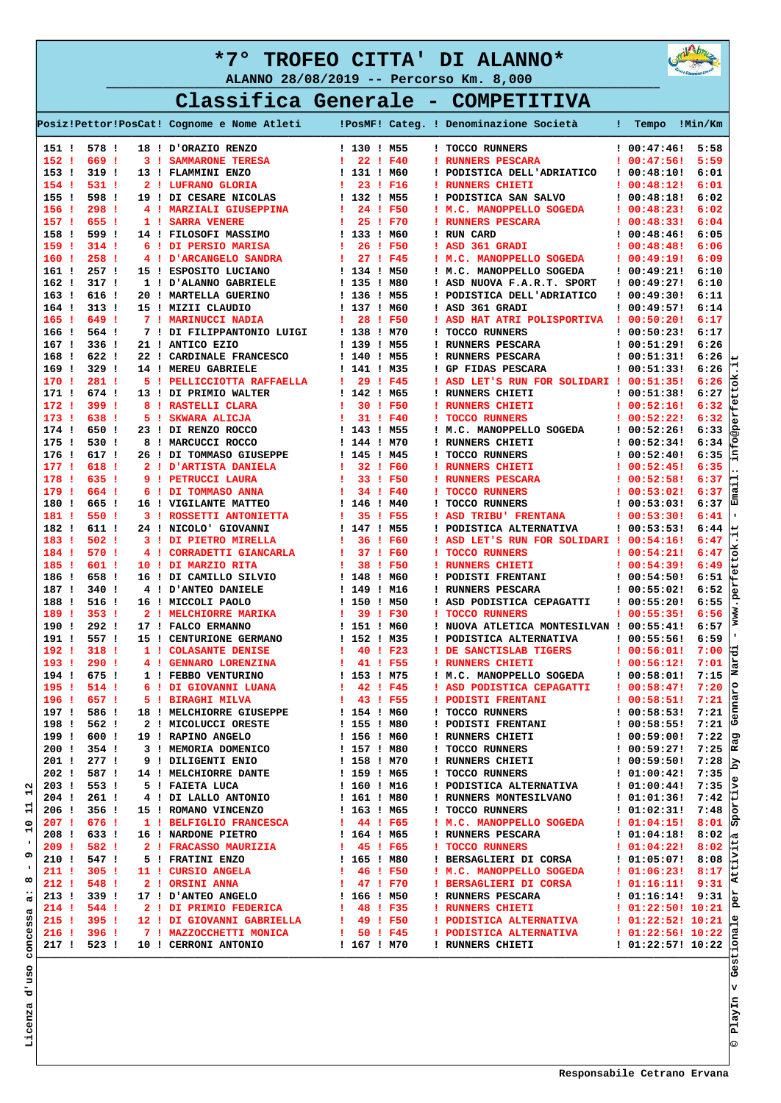



 **Classifica Generale - COMPETITIVA ——————————————————————————————————————————————————————————————————————————————————————————————————————————————**

| 578 !<br>18 ! D'ORAZIO RENZO<br>! 130 ! M55<br>$100:47:46!$ 5:58<br>151 !<br>! TOCCO RUNNERS<br>669!<br>152:<br>$122 \cdot F40$<br>! 00:47:56!<br>3 ! SAMMARONE TERESA<br>! RUNNERS PESCARA<br>$153$ !<br>6:01<br>319 I<br>13 ! FLAMMINI ENZO<br>! 131 ! M60<br>! PODISTICA DELL'ADRIATICO<br>: 00:48:10!<br>154!<br>531:<br>2 ! LUFRANO GLORIA<br>23 ! F16<br>: 00:48:12!<br>6:01<br>$\mathbf{I}$<br>! RUNNERS CHIETI<br>155 <sub>1</sub><br>598!<br>19 ! DI CESARE NICOLAS<br>! 132 ! M55<br>: 00:48:18!<br>6:02<br>! PODISTICA SAN SALVO<br>156!<br>$298$ !<br>24 ! F50<br>4 ! MARZIALI GIUSEPPINA<br>$\mathbf{I}$<br>! M.C. MANOPPELLO SOGEDA<br>: 00:48:23!<br>157.1<br>655!<br>25 ! F70<br>1 ! SARRA VENERE<br>$\mathbf{1}$<br>! RUNNERS PESCARA<br>100:48:331<br>158!<br>599!<br>! 133 ! M60<br>14 ! FILOSOFI MASSIMO<br>! RUN CARD<br>: 00:48:46!<br>26 ! F50<br>159!<br>$314$ !<br>6 ! DI PERSIO MARISA<br>$\mathbf{I}$<br>! 00:48:48!<br>! ASD 361 GRADI<br>160!<br>258!<br>27 ! F45<br>: 00:49:19!<br>4 ! D'ARCANGELO SANDRA<br>$\mathbf{I}$<br>! M.C. MANOPPELLO SOGEDA<br>161 !<br>257 <sub>1</sub><br>1 134 1 M50<br>15 ! ESPOSITO LUCIANO<br>! M.C. MANOPPELLO SOGEDA<br>: 00:49:21!<br>162 <sub>1</sub><br>317.1<br>! 135 ! M80<br>1 ! D'ALANNO GABRIELE<br>! ASD NUOVA F.A.R.T. SPORT<br>100:49:27!<br>163!<br>616 !<br>! 136 ! M55<br>20 ! MARTELLA GUERINO<br>! PODISTICA DELL'ADRIATICO<br>: 00:49:30!<br>164!<br>313.1<br>! 137 ! M60<br>15 ! MIZII CLAUDIO<br>! ASD 361 GRADI<br>100:49:57!<br>165!<br>649!<br>7 ! MARINUCCI NADIA<br>28 ! F50<br>$\mathbf{I}$<br>! ASD HAT ATRI POLISPORTIVA ! 00:50:20!<br>166!<br>564 !<br>7 ! DI FILIPPANTONIO LUIGI<br>! 138 ! M70<br>! TOCCO RUNNERS<br>6:17<br>100:50:231<br>167!<br>336 <sub>1</sub><br>21 ! ANTICO EZIO<br>! 139 ! M55<br>! RUNNERS PESCARA<br>: 00:51:29:<br>6:26<br>168!<br>622!<br>6:26<br>22 ! CARDINALE FRANCESCO<br>! 140 ! M55<br>! RUNNERS PESCARA<br>: 00:51:31!<br>329 !<br>169!<br>14 ! MEREU GABRIELE<br>1 141 ! M35<br>! GP FIDAS PESCARA<br>: 00:51:33!<br>170!<br>281:<br>29 ! F45<br>5 ! PELLICCIOTTA RAFFAELLA<br>$\mathbf{I}$<br>! ASD LET'S RUN FOR SOLIDARI ! 00:51:35!<br>171 !<br>674 !<br>! 142 ! M65<br>: 00:51:38!<br>13 ! DI PRIMIO WALTER<br>! RUNNERS CHIETI<br>172!<br>399 !<br>30 ! F50<br>: 00:52:16!<br>8 ! RASTELLI CLARA<br>л.<br>! RUNNERS CHIETI<br>173.1<br>638!<br>31 ! F40<br>: 00:52:22!<br>5 ! SKWARA ALICJA<br>л.<br>! TOCCO RUNNERS<br>174!<br>650!<br>! 143 ! M55<br>23 ! DI RENZO ROCCO<br>! M.C. MANOPPELLO SOGEDA<br>: 00:52:26!<br>175!<br>530 !<br>8 ! MARCUCCI ROCCO<br>: 00:52:34!<br>! 144 ! M70<br>! RUNNERS CHIETI<br>176 <sub>1</sub><br>617 !<br>: 00:52:40!<br>26 ! DI TOMMASO GIUSEPPE<br>! 145 ! M45<br>! TOCCO RUNNERS<br>1771<br>618 !<br>32 ! F60<br>: 00:52:45!<br>2 ! D'ARTISTA DANIELA<br>-1<br>! RUNNERS CHIETI<br>178!<br>635 !<br>33 ! F50<br>9 ! PETRUCCI LAURA<br>-1<br>! RUNNERS PESCARA<br>: 00:52:58!<br>179!<br>664!<br>34 ! F40<br>: 00:53:02!<br>6 ! DI TOMMASO ANNA<br>-1<br>! TOCCO RUNNERS<br>180!<br>665 !<br>! 146 ! M40<br>6:37<br>16 ! VIGILANTE MATTEO<br>! TOCCO RUNNERS<br>100:53:031<br>550 !<br>181!<br>35 ! F55<br>: 00:53:30!<br>6:41<br>3 ! ROSSETTI ANTONIETTA<br>÷<br>! ASD TRIBU' FRENTANA<br>182!<br>611 !<br>6:44<br>24 ! NICOLO' GIOVANNI<br>! 147 ! M55<br>! PODISTICA ALTERNATIVA<br>100:53:53!<br>183!<br>$502$ !<br>36 ! F60<br>3 ! DI PIETRO MIRELLA<br>$\mathbf{I}$<br>! ASD LET'S RUN FOR SOLIDARI ! 00:54:16!<br>184!<br>570 !<br>37 ! F60<br>4 ! CORRADETTI GIANCARLA<br>$\mathbf{I}$<br>! TOCCO RUNNERS<br>: 00:54:21!<br>185!<br>601!<br>38 ! F50<br>10 ! DI MARZIO RITA<br>-1<br>! RUNNERS CHIETI<br>: 00:54:39!<br>186!<br>658 !<br>! 148 ! M60<br>16 ! DI CAMILLO SILVIO<br>! PODISTI FRENTANI<br>: 00:54:50!<br>187!<br>340 !<br>! 149 ! M16<br>: 00:55:02!<br>4 ! D'ANTEO DANIELE<br>! RUNNERS PESCARA<br>188!<br>516 !<br>! 150 ! M50<br>16 ! MICCOLI PAOLO<br>! ASD PODISTICA CEPAGATTI<br>: 00:55:20!<br>189!<br>$353 \quad 1$<br>39 ! F30<br>2 ! MELCHIORRE MARIKA<br>л.<br>! TOCCO RUNNERS<br>: 00:55:35!<br>$292$ !<br>190!<br>! 151 ! M60<br>17 ! FALCO ERMANNO<br>! NUOVA ATLETICA MONTESILVAN ! 00:55:41!<br>191!<br>557!<br>15 ! CENTURIONE GERMANO<br>! 152 ! M35<br>! PODISTICA ALTERNATIVA<br>100:55:561<br>192!<br>318 <sub>1</sub><br>40 ! F23<br>7:00<br>1 ! COLASANTE DENISE<br>$\mathbf{I}$<br>! DE SANCTISLAB TIGERS<br>: 00:56:01!<br>193!<br>$290$ !<br>41 ! F55<br>7:01<br>4 ! GENNARO LORENZINA<br>$\mathbf{I}$<br>! RUNNERS CHIETI<br>: 00:56:12!<br>194!<br>675!<br>! 153 ! M75<br>7:15<br>1 ! FEBBO VENTURINO<br>! M.C. MANOPPELLO SOGEDA<br>: 00:58:01!<br>195!<br>7:20<br>514 !<br>6 ! DI GIOVANNI LUANA<br>1<br>42 ! F45<br>! ASD PODISTICA CEPAGATTI<br>100:58:47!<br>196 ! 657 !<br>$143 \t F55$<br>5 ! BIRAGHI MILVA<br>! PODISTI FRENTANI<br>! TOCCO RUNNERS<br>! 00:58:51! 7:21<br>18 ! MELCHIORRE GIUSEPPE 1 154 ! M60<br>197 ! 586 !<br>198 ! 562 !<br>2   MICOLUCCI ORESTE<br>1 155   M80<br>19   RAPINO ANGELO<br>3   MEMORIA DOMENICO<br>3   MEMORIA DOMENICO<br>1 157   M80<br>9   DILIGENTI ENIO<br>1   MELCHIORRE DANTE<br>1 159   M65<br>5   FAIETA LUCA<br>4   DI LALLO ANTONIO<br>1 160   M16<br>4  <br>199 ! 600 !<br>200!<br>354 !<br>201 !<br>2771<br>! TOCCO RUNNERS<br>! DODISTICA ALTERNATIVA<br>! DODISTICA ALTERNATIVA<br>! 01:00:44! 7:35<br>! RUNNERS MONTESILVANO<br>! 01:01:36! 7:42<br>202 ! 587 !<br>203 !<br>553!<br>204 ! 261 !<br>: TOCCO RUNNERS : 01:02:31! 7:48<br>: M.C. MANOPPELLO SOGEDA : 01:04:15! 8:01<br>15 ! ROMANO VINCENZO 1 163 ! M65<br>1 ! BELFIGLIO FRANCESCA 1 44 ! F65<br>206 ! 356 !<br>207 ! 676 !<br>1   BEFIGLIO FRANCESCA   44   F65   M.C. MANOPELLO SOGEDA   01:04:151 8:01<br>16   NREDONE PIETRO   164   M65   RUNNERS PESCARA   01:04:151 8:01<br>2   FRACASSO MAURIZIA   45   F65   NOCO RUNNERS PESCARA   01:04:221 8:02<br>5  <br>208 ! 633 !<br>$\begin{array}{cccc} 1 & 01:04:18 & 8:02 \\ 0 & 01:04:22 & 8:02 \end{array} \begin{bmatrix} 0 \\ 0 \\ 1 \end{bmatrix}$<br>209 ! 582 !<br>210 ! 547 !<br>211 ! 305 !<br>212 ! 548 !<br>213 ! 339 !<br>214 ! 544 !<br>215 ! 395 !<br>216 ! 396 !<br>I RUNNERS CHIETI $101:22:571:10:22 \begin{bmatrix} 5 \\ 1 \end{bmatrix}$<br>217 ! 523 ! |  |  |  | Posiz!Pettor!PosCat! Cognome e Nome Atleti   PosMF! Categ. ! Denominazione Società | ! Tempo !Min/Km |      |
|------------------------------------------------------------------------------------------------------------------------------------------------------------------------------------------------------------------------------------------------------------------------------------------------------------------------------------------------------------------------------------------------------------------------------------------------------------------------------------------------------------------------------------------------------------------------------------------------------------------------------------------------------------------------------------------------------------------------------------------------------------------------------------------------------------------------------------------------------------------------------------------------------------------------------------------------------------------------------------------------------------------------------------------------------------------------------------------------------------------------------------------------------------------------------------------------------------------------------------------------------------------------------------------------------------------------------------------------------------------------------------------------------------------------------------------------------------------------------------------------------------------------------------------------------------------------------------------------------------------------------------------------------------------------------------------------------------------------------------------------------------------------------------------------------------------------------------------------------------------------------------------------------------------------------------------------------------------------------------------------------------------------------------------------------------------------------------------------------------------------------------------------------------------------------------------------------------------------------------------------------------------------------------------------------------------------------------------------------------------------------------------------------------------------------------------------------------------------------------------------------------------------------------------------------------------------------------------------------------------------------------------------------------------------------------------------------------------------------------------------------------------------------------------------------------------------------------------------------------------------------------------------------------------------------------------------------------------------------------------------------------------------------------------------------------------------------------------------------------------------------------------------------------------------------------------------------------------------------------------------------------------------------------------------------------------------------------------------------------------------------------------------------------------------------------------------------------------------------------------------------------------------------------------------------------------------------------------------------------------------------------------------------------------------------------------------------------------------------------------------------------------------------------------------------------------------------------------------------------------------------------------------------------------------------------------------------------------------------------------------------------------------------------------------------------------------------------------------------------------------------------------------------------------------------------------------------------------------------------------------------------------------------------------------------------------------------------------------------------------------------------------------------------------------------------------------------------------------------------------------------------------------------------------------------------------------------------------------------------------------------------------------------------------------------------------------------------------------------------------------------------------------------------------------------------------------------------------------------------------------------------------------------------------------------------------------------------------------------------------------------------------------------------------------------------------------------------------------------------------------------------------------------------------------------------------------------------------------------------------------------------------------------------------------------------------------------------------------------------------------------------------------------------------------------------------------------------------------------------------------------------------------------------------------------------------------------------------------------------------------------------------------------------------------------------------------------------------------------------------------------------------------------------------------------------------------------------------------------------------------------------------------------------------------------------------------------------------------------------------------------------------------------------------------------------------------------------------------------------------------------------------------------------------------------------------------------------------------------------------------------------------------------------------|--|--|--|------------------------------------------------------------------------------------|-----------------|------|
|                                                                                                                                                                                                                                                                                                                                                                                                                                                                                                                                                                                                                                                                                                                                                                                                                                                                                                                                                                                                                                                                                                                                                                                                                                                                                                                                                                                                                                                                                                                                                                                                                                                                                                                                                                                                                                                                                                                                                                                                                                                                                                                                                                                                                                                                                                                                                                                                                                                                                                                                                                                                                                                                                                                                                                                                                                                                                                                                                                                                                                                                                                                                                                                                                                                                                                                                                                                                                                                                                                                                                                                                                                                                                                                                                                                                                                                                                                                                                                                                                                                                                                                                                                                                                                                                                                                                                                                                                                                                                                                                                                                                                                                                                                                                                                                                                                                                                                                                                                                                                                                                                                                                                                                                                                                                                                                                                                                                                                                                                                                                                                                                                                                                                                                                                                                                                                                                                                                                                                                                                                                                                                                                                                                                                                                                                          |  |  |  |                                                                                    |                 |      |
|                                                                                                                                                                                                                                                                                                                                                                                                                                                                                                                                                                                                                                                                                                                                                                                                                                                                                                                                                                                                                                                                                                                                                                                                                                                                                                                                                                                                                                                                                                                                                                                                                                                                                                                                                                                                                                                                                                                                                                                                                                                                                                                                                                                                                                                                                                                                                                                                                                                                                                                                                                                                                                                                                                                                                                                                                                                                                                                                                                                                                                                                                                                                                                                                                                                                                                                                                                                                                                                                                                                                                                                                                                                                                                                                                                                                                                                                                                                                                                                                                                                                                                                                                                                                                                                                                                                                                                                                                                                                                                                                                                                                                                                                                                                                                                                                                                                                                                                                                                                                                                                                                                                                                                                                                                                                                                                                                                                                                                                                                                                                                                                                                                                                                                                                                                                                                                                                                                                                                                                                                                                                                                                                                                                                                                                                                          |  |  |  |                                                                                    |                 | 5:59 |
|                                                                                                                                                                                                                                                                                                                                                                                                                                                                                                                                                                                                                                                                                                                                                                                                                                                                                                                                                                                                                                                                                                                                                                                                                                                                                                                                                                                                                                                                                                                                                                                                                                                                                                                                                                                                                                                                                                                                                                                                                                                                                                                                                                                                                                                                                                                                                                                                                                                                                                                                                                                                                                                                                                                                                                                                                                                                                                                                                                                                                                                                                                                                                                                                                                                                                                                                                                                                                                                                                                                                                                                                                                                                                                                                                                                                                                                                                                                                                                                                                                                                                                                                                                                                                                                                                                                                                                                                                                                                                                                                                                                                                                                                                                                                                                                                                                                                                                                                                                                                                                                                                                                                                                                                                                                                                                                                                                                                                                                                                                                                                                                                                                                                                                                                                                                                                                                                                                                                                                                                                                                                                                                                                                                                                                                                                          |  |  |  |                                                                                    |                 |      |
|                                                                                                                                                                                                                                                                                                                                                                                                                                                                                                                                                                                                                                                                                                                                                                                                                                                                                                                                                                                                                                                                                                                                                                                                                                                                                                                                                                                                                                                                                                                                                                                                                                                                                                                                                                                                                                                                                                                                                                                                                                                                                                                                                                                                                                                                                                                                                                                                                                                                                                                                                                                                                                                                                                                                                                                                                                                                                                                                                                                                                                                                                                                                                                                                                                                                                                                                                                                                                                                                                                                                                                                                                                                                                                                                                                                                                                                                                                                                                                                                                                                                                                                                                                                                                                                                                                                                                                                                                                                                                                                                                                                                                                                                                                                                                                                                                                                                                                                                                                                                                                                                                                                                                                                                                                                                                                                                                                                                                                                                                                                                                                                                                                                                                                                                                                                                                                                                                                                                                                                                                                                                                                                                                                                                                                                                                          |  |  |  |                                                                                    |                 |      |
|                                                                                                                                                                                                                                                                                                                                                                                                                                                                                                                                                                                                                                                                                                                                                                                                                                                                                                                                                                                                                                                                                                                                                                                                                                                                                                                                                                                                                                                                                                                                                                                                                                                                                                                                                                                                                                                                                                                                                                                                                                                                                                                                                                                                                                                                                                                                                                                                                                                                                                                                                                                                                                                                                                                                                                                                                                                                                                                                                                                                                                                                                                                                                                                                                                                                                                                                                                                                                                                                                                                                                                                                                                                                                                                                                                                                                                                                                                                                                                                                                                                                                                                                                                                                                                                                                                                                                                                                                                                                                                                                                                                                                                                                                                                                                                                                                                                                                                                                                                                                                                                                                                                                                                                                                                                                                                                                                                                                                                                                                                                                                                                                                                                                                                                                                                                                                                                                                                                                                                                                                                                                                                                                                                                                                                                                                          |  |  |  |                                                                                    |                 | 6:02 |
|                                                                                                                                                                                                                                                                                                                                                                                                                                                                                                                                                                                                                                                                                                                                                                                                                                                                                                                                                                                                                                                                                                                                                                                                                                                                                                                                                                                                                                                                                                                                                                                                                                                                                                                                                                                                                                                                                                                                                                                                                                                                                                                                                                                                                                                                                                                                                                                                                                                                                                                                                                                                                                                                                                                                                                                                                                                                                                                                                                                                                                                                                                                                                                                                                                                                                                                                                                                                                                                                                                                                                                                                                                                                                                                                                                                                                                                                                                                                                                                                                                                                                                                                                                                                                                                                                                                                                                                                                                                                                                                                                                                                                                                                                                                                                                                                                                                                                                                                                                                                                                                                                                                                                                                                                                                                                                                                                                                                                                                                                                                                                                                                                                                                                                                                                                                                                                                                                                                                                                                                                                                                                                                                                                                                                                                                                          |  |  |  |                                                                                    |                 | 6:04 |
|                                                                                                                                                                                                                                                                                                                                                                                                                                                                                                                                                                                                                                                                                                                                                                                                                                                                                                                                                                                                                                                                                                                                                                                                                                                                                                                                                                                                                                                                                                                                                                                                                                                                                                                                                                                                                                                                                                                                                                                                                                                                                                                                                                                                                                                                                                                                                                                                                                                                                                                                                                                                                                                                                                                                                                                                                                                                                                                                                                                                                                                                                                                                                                                                                                                                                                                                                                                                                                                                                                                                                                                                                                                                                                                                                                                                                                                                                                                                                                                                                                                                                                                                                                                                                                                                                                                                                                                                                                                                                                                                                                                                                                                                                                                                                                                                                                                                                                                                                                                                                                                                                                                                                                                                                                                                                                                                                                                                                                                                                                                                                                                                                                                                                                                                                                                                                                                                                                                                                                                                                                                                                                                                                                                                                                                                                          |  |  |  |                                                                                    |                 | 6:05 |
|                                                                                                                                                                                                                                                                                                                                                                                                                                                                                                                                                                                                                                                                                                                                                                                                                                                                                                                                                                                                                                                                                                                                                                                                                                                                                                                                                                                                                                                                                                                                                                                                                                                                                                                                                                                                                                                                                                                                                                                                                                                                                                                                                                                                                                                                                                                                                                                                                                                                                                                                                                                                                                                                                                                                                                                                                                                                                                                                                                                                                                                                                                                                                                                                                                                                                                                                                                                                                                                                                                                                                                                                                                                                                                                                                                                                                                                                                                                                                                                                                                                                                                                                                                                                                                                                                                                                                                                                                                                                                                                                                                                                                                                                                                                                                                                                                                                                                                                                                                                                                                                                                                                                                                                                                                                                                                                                                                                                                                                                                                                                                                                                                                                                                                                                                                                                                                                                                                                                                                                                                                                                                                                                                                                                                                                                                          |  |  |  |                                                                                    |                 | 6:06 |
|                                                                                                                                                                                                                                                                                                                                                                                                                                                                                                                                                                                                                                                                                                                                                                                                                                                                                                                                                                                                                                                                                                                                                                                                                                                                                                                                                                                                                                                                                                                                                                                                                                                                                                                                                                                                                                                                                                                                                                                                                                                                                                                                                                                                                                                                                                                                                                                                                                                                                                                                                                                                                                                                                                                                                                                                                                                                                                                                                                                                                                                                                                                                                                                                                                                                                                                                                                                                                                                                                                                                                                                                                                                                                                                                                                                                                                                                                                                                                                                                                                                                                                                                                                                                                                                                                                                                                                                                                                                                                                                                                                                                                                                                                                                                                                                                                                                                                                                                                                                                                                                                                                                                                                                                                                                                                                                                                                                                                                                                                                                                                                                                                                                                                                                                                                                                                                                                                                                                                                                                                                                                                                                                                                                                                                                                                          |  |  |  |                                                                                    |                 | 6:09 |
|                                                                                                                                                                                                                                                                                                                                                                                                                                                                                                                                                                                                                                                                                                                                                                                                                                                                                                                                                                                                                                                                                                                                                                                                                                                                                                                                                                                                                                                                                                                                                                                                                                                                                                                                                                                                                                                                                                                                                                                                                                                                                                                                                                                                                                                                                                                                                                                                                                                                                                                                                                                                                                                                                                                                                                                                                                                                                                                                                                                                                                                                                                                                                                                                                                                                                                                                                                                                                                                                                                                                                                                                                                                                                                                                                                                                                                                                                                                                                                                                                                                                                                                                                                                                                                                                                                                                                                                                                                                                                                                                                                                                                                                                                                                                                                                                                                                                                                                                                                                                                                                                                                                                                                                                                                                                                                                                                                                                                                                                                                                                                                                                                                                                                                                                                                                                                                                                                                                                                                                                                                                                                                                                                                                                                                                                                          |  |  |  |                                                                                    |                 | 6:10 |
|                                                                                                                                                                                                                                                                                                                                                                                                                                                                                                                                                                                                                                                                                                                                                                                                                                                                                                                                                                                                                                                                                                                                                                                                                                                                                                                                                                                                                                                                                                                                                                                                                                                                                                                                                                                                                                                                                                                                                                                                                                                                                                                                                                                                                                                                                                                                                                                                                                                                                                                                                                                                                                                                                                                                                                                                                                                                                                                                                                                                                                                                                                                                                                                                                                                                                                                                                                                                                                                                                                                                                                                                                                                                                                                                                                                                                                                                                                                                                                                                                                                                                                                                                                                                                                                                                                                                                                                                                                                                                                                                                                                                                                                                                                                                                                                                                                                                                                                                                                                                                                                                                                                                                                                                                                                                                                                                                                                                                                                                                                                                                                                                                                                                                                                                                                                                                                                                                                                                                                                                                                                                                                                                                                                                                                                                                          |  |  |  |                                                                                    |                 | 6:10 |
|                                                                                                                                                                                                                                                                                                                                                                                                                                                                                                                                                                                                                                                                                                                                                                                                                                                                                                                                                                                                                                                                                                                                                                                                                                                                                                                                                                                                                                                                                                                                                                                                                                                                                                                                                                                                                                                                                                                                                                                                                                                                                                                                                                                                                                                                                                                                                                                                                                                                                                                                                                                                                                                                                                                                                                                                                                                                                                                                                                                                                                                                                                                                                                                                                                                                                                                                                                                                                                                                                                                                                                                                                                                                                                                                                                                                                                                                                                                                                                                                                                                                                                                                                                                                                                                                                                                                                                                                                                                                                                                                                                                                                                                                                                                                                                                                                                                                                                                                                                                                                                                                                                                                                                                                                                                                                                                                                                                                                                                                                                                                                                                                                                                                                                                                                                                                                                                                                                                                                                                                                                                                                                                                                                                                                                                                                          |  |  |  |                                                                                    |                 | 6:11 |
|                                                                                                                                                                                                                                                                                                                                                                                                                                                                                                                                                                                                                                                                                                                                                                                                                                                                                                                                                                                                                                                                                                                                                                                                                                                                                                                                                                                                                                                                                                                                                                                                                                                                                                                                                                                                                                                                                                                                                                                                                                                                                                                                                                                                                                                                                                                                                                                                                                                                                                                                                                                                                                                                                                                                                                                                                                                                                                                                                                                                                                                                                                                                                                                                                                                                                                                                                                                                                                                                                                                                                                                                                                                                                                                                                                                                                                                                                                                                                                                                                                                                                                                                                                                                                                                                                                                                                                                                                                                                                                                                                                                                                                                                                                                                                                                                                                                                                                                                                                                                                                                                                                                                                                                                                                                                                                                                                                                                                                                                                                                                                                                                                                                                                                                                                                                                                                                                                                                                                                                                                                                                                                                                                                                                                                                                                          |  |  |  |                                                                                    |                 | 6:14 |
|                                                                                                                                                                                                                                                                                                                                                                                                                                                                                                                                                                                                                                                                                                                                                                                                                                                                                                                                                                                                                                                                                                                                                                                                                                                                                                                                                                                                                                                                                                                                                                                                                                                                                                                                                                                                                                                                                                                                                                                                                                                                                                                                                                                                                                                                                                                                                                                                                                                                                                                                                                                                                                                                                                                                                                                                                                                                                                                                                                                                                                                                                                                                                                                                                                                                                                                                                                                                                                                                                                                                                                                                                                                                                                                                                                                                                                                                                                                                                                                                                                                                                                                                                                                                                                                                                                                                                                                                                                                                                                                                                                                                                                                                                                                                                                                                                                                                                                                                                                                                                                                                                                                                                                                                                                                                                                                                                                                                                                                                                                                                                                                                                                                                                                                                                                                                                                                                                                                                                                                                                                                                                                                                                                                                                                                                                          |  |  |  |                                                                                    |                 | 6:17 |
|                                                                                                                                                                                                                                                                                                                                                                                                                                                                                                                                                                                                                                                                                                                                                                                                                                                                                                                                                                                                                                                                                                                                                                                                                                                                                                                                                                                                                                                                                                                                                                                                                                                                                                                                                                                                                                                                                                                                                                                                                                                                                                                                                                                                                                                                                                                                                                                                                                                                                                                                                                                                                                                                                                                                                                                                                                                                                                                                                                                                                                                                                                                                                                                                                                                                                                                                                                                                                                                                                                                                                                                                                                                                                                                                                                                                                                                                                                                                                                                                                                                                                                                                                                                                                                                                                                                                                                                                                                                                                                                                                                                                                                                                                                                                                                                                                                                                                                                                                                                                                                                                                                                                                                                                                                                                                                                                                                                                                                                                                                                                                                                                                                                                                                                                                                                                                                                                                                                                                                                                                                                                                                                                                                                                                                                                                          |  |  |  |                                                                                    |                 |      |
|                                                                                                                                                                                                                                                                                                                                                                                                                                                                                                                                                                                                                                                                                                                                                                                                                                                                                                                                                                                                                                                                                                                                                                                                                                                                                                                                                                                                                                                                                                                                                                                                                                                                                                                                                                                                                                                                                                                                                                                                                                                                                                                                                                                                                                                                                                                                                                                                                                                                                                                                                                                                                                                                                                                                                                                                                                                                                                                                                                                                                                                                                                                                                                                                                                                                                                                                                                                                                                                                                                                                                                                                                                                                                                                                                                                                                                                                                                                                                                                                                                                                                                                                                                                                                                                                                                                                                                                                                                                                                                                                                                                                                                                                                                                                                                                                                                                                                                                                                                                                                                                                                                                                                                                                                                                                                                                                                                                                                                                                                                                                                                                                                                                                                                                                                                                                                                                                                                                                                                                                                                                                                                                                                                                                                                                                                          |  |  |  |                                                                                    |                 |      |
|                                                                                                                                                                                                                                                                                                                                                                                                                                                                                                                                                                                                                                                                                                                                                                                                                                                                                                                                                                                                                                                                                                                                                                                                                                                                                                                                                                                                                                                                                                                                                                                                                                                                                                                                                                                                                                                                                                                                                                                                                                                                                                                                                                                                                                                                                                                                                                                                                                                                                                                                                                                                                                                                                                                                                                                                                                                                                                                                                                                                                                                                                                                                                                                                                                                                                                                                                                                                                                                                                                                                                                                                                                                                                                                                                                                                                                                                                                                                                                                                                                                                                                                                                                                                                                                                                                                                                                                                                                                                                                                                                                                                                                                                                                                                                                                                                                                                                                                                                                                                                                                                                                                                                                                                                                                                                                                                                                                                                                                                                                                                                                                                                                                                                                                                                                                                                                                                                                                                                                                                                                                                                                                                                                                                                                                                                          |  |  |  |                                                                                    |                 | 6:26 |
|                                                                                                                                                                                                                                                                                                                                                                                                                                                                                                                                                                                                                                                                                                                                                                                                                                                                                                                                                                                                                                                                                                                                                                                                                                                                                                                                                                                                                                                                                                                                                                                                                                                                                                                                                                                                                                                                                                                                                                                                                                                                                                                                                                                                                                                                                                                                                                                                                                                                                                                                                                                                                                                                                                                                                                                                                                                                                                                                                                                                                                                                                                                                                                                                                                                                                                                                                                                                                                                                                                                                                                                                                                                                                                                                                                                                                                                                                                                                                                                                                                                                                                                                                                                                                                                                                                                                                                                                                                                                                                                                                                                                                                                                                                                                                                                                                                                                                                                                                                                                                                                                                                                                                                                                                                                                                                                                                                                                                                                                                                                                                                                                                                                                                                                                                                                                                                                                                                                                                                                                                                                                                                                                                                                                                                                                                          |  |  |  |                                                                                    |                 | 6:26 |
|                                                                                                                                                                                                                                                                                                                                                                                                                                                                                                                                                                                                                                                                                                                                                                                                                                                                                                                                                                                                                                                                                                                                                                                                                                                                                                                                                                                                                                                                                                                                                                                                                                                                                                                                                                                                                                                                                                                                                                                                                                                                                                                                                                                                                                                                                                                                                                                                                                                                                                                                                                                                                                                                                                                                                                                                                                                                                                                                                                                                                                                                                                                                                                                                                                                                                                                                                                                                                                                                                                                                                                                                                                                                                                                                                                                                                                                                                                                                                                                                                                                                                                                                                                                                                                                                                                                                                                                                                                                                                                                                                                                                                                                                                                                                                                                                                                                                                                                                                                                                                                                                                                                                                                                                                                                                                                                                                                                                                                                                                                                                                                                                                                                                                                                                                                                                                                                                                                                                                                                                                                                                                                                                                                                                                                                                                          |  |  |  |                                                                                    |                 | 6:27 |
|                                                                                                                                                                                                                                                                                                                                                                                                                                                                                                                                                                                                                                                                                                                                                                                                                                                                                                                                                                                                                                                                                                                                                                                                                                                                                                                                                                                                                                                                                                                                                                                                                                                                                                                                                                                                                                                                                                                                                                                                                                                                                                                                                                                                                                                                                                                                                                                                                                                                                                                                                                                                                                                                                                                                                                                                                                                                                                                                                                                                                                                                                                                                                                                                                                                                                                                                                                                                                                                                                                                                                                                                                                                                                                                                                                                                                                                                                                                                                                                                                                                                                                                                                                                                                                                                                                                                                                                                                                                                                                                                                                                                                                                                                                                                                                                                                                                                                                                                                                                                                                                                                                                                                                                                                                                                                                                                                                                                                                                                                                                                                                                                                                                                                                                                                                                                                                                                                                                                                                                                                                                                                                                                                                                                                                                                                          |  |  |  |                                                                                    |                 | 6:32 |
|                                                                                                                                                                                                                                                                                                                                                                                                                                                                                                                                                                                                                                                                                                                                                                                                                                                                                                                                                                                                                                                                                                                                                                                                                                                                                                                                                                                                                                                                                                                                                                                                                                                                                                                                                                                                                                                                                                                                                                                                                                                                                                                                                                                                                                                                                                                                                                                                                                                                                                                                                                                                                                                                                                                                                                                                                                                                                                                                                                                                                                                                                                                                                                                                                                                                                                                                                                                                                                                                                                                                                                                                                                                                                                                                                                                                                                                                                                                                                                                                                                                                                                                                                                                                                                                                                                                                                                                                                                                                                                                                                                                                                                                                                                                                                                                                                                                                                                                                                                                                                                                                                                                                                                                                                                                                                                                                                                                                                                                                                                                                                                                                                                                                                                                                                                                                                                                                                                                                                                                                                                                                                                                                                                                                                                                                                          |  |  |  |                                                                                    |                 | 6:32 |
|                                                                                                                                                                                                                                                                                                                                                                                                                                                                                                                                                                                                                                                                                                                                                                                                                                                                                                                                                                                                                                                                                                                                                                                                                                                                                                                                                                                                                                                                                                                                                                                                                                                                                                                                                                                                                                                                                                                                                                                                                                                                                                                                                                                                                                                                                                                                                                                                                                                                                                                                                                                                                                                                                                                                                                                                                                                                                                                                                                                                                                                                                                                                                                                                                                                                                                                                                                                                                                                                                                                                                                                                                                                                                                                                                                                                                                                                                                                                                                                                                                                                                                                                                                                                                                                                                                                                                                                                                                                                                                                                                                                                                                                                                                                                                                                                                                                                                                                                                                                                                                                                                                                                                                                                                                                                                                                                                                                                                                                                                                                                                                                                                                                                                                                                                                                                                                                                                                                                                                                                                                                                                                                                                                                                                                                                                          |  |  |  |                                                                                    |                 | 6:33 |
|                                                                                                                                                                                                                                                                                                                                                                                                                                                                                                                                                                                                                                                                                                                                                                                                                                                                                                                                                                                                                                                                                                                                                                                                                                                                                                                                                                                                                                                                                                                                                                                                                                                                                                                                                                                                                                                                                                                                                                                                                                                                                                                                                                                                                                                                                                                                                                                                                                                                                                                                                                                                                                                                                                                                                                                                                                                                                                                                                                                                                                                                                                                                                                                                                                                                                                                                                                                                                                                                                                                                                                                                                                                                                                                                                                                                                                                                                                                                                                                                                                                                                                                                                                                                                                                                                                                                                                                                                                                                                                                                                                                                                                                                                                                                                                                                                                                                                                                                                                                                                                                                                                                                                                                                                                                                                                                                                                                                                                                                                                                                                                                                                                                                                                                                                                                                                                                                                                                                                                                                                                                                                                                                                                                                                                                                                          |  |  |  |                                                                                    |                 | 6:34 |
|                                                                                                                                                                                                                                                                                                                                                                                                                                                                                                                                                                                                                                                                                                                                                                                                                                                                                                                                                                                                                                                                                                                                                                                                                                                                                                                                                                                                                                                                                                                                                                                                                                                                                                                                                                                                                                                                                                                                                                                                                                                                                                                                                                                                                                                                                                                                                                                                                                                                                                                                                                                                                                                                                                                                                                                                                                                                                                                                                                                                                                                                                                                                                                                                                                                                                                                                                                                                                                                                                                                                                                                                                                                                                                                                                                                                                                                                                                                                                                                                                                                                                                                                                                                                                                                                                                                                                                                                                                                                                                                                                                                                                                                                                                                                                                                                                                                                                                                                                                                                                                                                                                                                                                                                                                                                                                                                                                                                                                                                                                                                                                                                                                                                                                                                                                                                                                                                                                                                                                                                                                                                                                                                                                                                                                                                                          |  |  |  |                                                                                    |                 | 6:35 |
|                                                                                                                                                                                                                                                                                                                                                                                                                                                                                                                                                                                                                                                                                                                                                                                                                                                                                                                                                                                                                                                                                                                                                                                                                                                                                                                                                                                                                                                                                                                                                                                                                                                                                                                                                                                                                                                                                                                                                                                                                                                                                                                                                                                                                                                                                                                                                                                                                                                                                                                                                                                                                                                                                                                                                                                                                                                                                                                                                                                                                                                                                                                                                                                                                                                                                                                                                                                                                                                                                                                                                                                                                                                                                                                                                                                                                                                                                                                                                                                                                                                                                                                                                                                                                                                                                                                                                                                                                                                                                                                                                                                                                                                                                                                                                                                                                                                                                                                                                                                                                                                                                                                                                                                                                                                                                                                                                                                                                                                                                                                                                                                                                                                                                                                                                                                                                                                                                                                                                                                                                                                                                                                                                                                                                                                                                          |  |  |  |                                                                                    |                 | 6:35 |
|                                                                                                                                                                                                                                                                                                                                                                                                                                                                                                                                                                                                                                                                                                                                                                                                                                                                                                                                                                                                                                                                                                                                                                                                                                                                                                                                                                                                                                                                                                                                                                                                                                                                                                                                                                                                                                                                                                                                                                                                                                                                                                                                                                                                                                                                                                                                                                                                                                                                                                                                                                                                                                                                                                                                                                                                                                                                                                                                                                                                                                                                                                                                                                                                                                                                                                                                                                                                                                                                                                                                                                                                                                                                                                                                                                                                                                                                                                                                                                                                                                                                                                                                                                                                                                                                                                                                                                                                                                                                                                                                                                                                                                                                                                                                                                                                                                                                                                                                                                                                                                                                                                                                                                                                                                                                                                                                                                                                                                                                                                                                                                                                                                                                                                                                                                                                                                                                                                                                                                                                                                                                                                                                                                                                                                                                                          |  |  |  |                                                                                    |                 | 6:37 |
|                                                                                                                                                                                                                                                                                                                                                                                                                                                                                                                                                                                                                                                                                                                                                                                                                                                                                                                                                                                                                                                                                                                                                                                                                                                                                                                                                                                                                                                                                                                                                                                                                                                                                                                                                                                                                                                                                                                                                                                                                                                                                                                                                                                                                                                                                                                                                                                                                                                                                                                                                                                                                                                                                                                                                                                                                                                                                                                                                                                                                                                                                                                                                                                                                                                                                                                                                                                                                                                                                                                                                                                                                                                                                                                                                                                                                                                                                                                                                                                                                                                                                                                                                                                                                                                                                                                                                                                                                                                                                                                                                                                                                                                                                                                                                                                                                                                                                                                                                                                                                                                                                                                                                                                                                                                                                                                                                                                                                                                                                                                                                                                                                                                                                                                                                                                                                                                                                                                                                                                                                                                                                                                                                                                                                                                                                          |  |  |  |                                                                                    |                 | 6:37 |
|                                                                                                                                                                                                                                                                                                                                                                                                                                                                                                                                                                                                                                                                                                                                                                                                                                                                                                                                                                                                                                                                                                                                                                                                                                                                                                                                                                                                                                                                                                                                                                                                                                                                                                                                                                                                                                                                                                                                                                                                                                                                                                                                                                                                                                                                                                                                                                                                                                                                                                                                                                                                                                                                                                                                                                                                                                                                                                                                                                                                                                                                                                                                                                                                                                                                                                                                                                                                                                                                                                                                                                                                                                                                                                                                                                                                                                                                                                                                                                                                                                                                                                                                                                                                                                                                                                                                                                                                                                                                                                                                                                                                                                                                                                                                                                                                                                                                                                                                                                                                                                                                                                                                                                                                                                                                                                                                                                                                                                                                                                                                                                                                                                                                                                                                                                                                                                                                                                                                                                                                                                                                                                                                                                                                                                                                                          |  |  |  |                                                                                    |                 |      |
|                                                                                                                                                                                                                                                                                                                                                                                                                                                                                                                                                                                                                                                                                                                                                                                                                                                                                                                                                                                                                                                                                                                                                                                                                                                                                                                                                                                                                                                                                                                                                                                                                                                                                                                                                                                                                                                                                                                                                                                                                                                                                                                                                                                                                                                                                                                                                                                                                                                                                                                                                                                                                                                                                                                                                                                                                                                                                                                                                                                                                                                                                                                                                                                                                                                                                                                                                                                                                                                                                                                                                                                                                                                                                                                                                                                                                                                                                                                                                                                                                                                                                                                                                                                                                                                                                                                                                                                                                                                                                                                                                                                                                                                                                                                                                                                                                                                                                                                                                                                                                                                                                                                                                                                                                                                                                                                                                                                                                                                                                                                                                                                                                                                                                                                                                                                                                                                                                                                                                                                                                                                                                                                                                                                                                                                                                          |  |  |  |                                                                                    |                 |      |
|                                                                                                                                                                                                                                                                                                                                                                                                                                                                                                                                                                                                                                                                                                                                                                                                                                                                                                                                                                                                                                                                                                                                                                                                                                                                                                                                                                                                                                                                                                                                                                                                                                                                                                                                                                                                                                                                                                                                                                                                                                                                                                                                                                                                                                                                                                                                                                                                                                                                                                                                                                                                                                                                                                                                                                                                                                                                                                                                                                                                                                                                                                                                                                                                                                                                                                                                                                                                                                                                                                                                                                                                                                                                                                                                                                                                                                                                                                                                                                                                                                                                                                                                                                                                                                                                                                                                                                                                                                                                                                                                                                                                                                                                                                                                                                                                                                                                                                                                                                                                                                                                                                                                                                                                                                                                                                                                                                                                                                                                                                                                                                                                                                                                                                                                                                                                                                                                                                                                                                                                                                                                                                                                                                                                                                                                                          |  |  |  |                                                                                    |                 | 6:47 |
|                                                                                                                                                                                                                                                                                                                                                                                                                                                                                                                                                                                                                                                                                                                                                                                                                                                                                                                                                                                                                                                                                                                                                                                                                                                                                                                                                                                                                                                                                                                                                                                                                                                                                                                                                                                                                                                                                                                                                                                                                                                                                                                                                                                                                                                                                                                                                                                                                                                                                                                                                                                                                                                                                                                                                                                                                                                                                                                                                                                                                                                                                                                                                                                                                                                                                                                                                                                                                                                                                                                                                                                                                                                                                                                                                                                                                                                                                                                                                                                                                                                                                                                                                                                                                                                                                                                                                                                                                                                                                                                                                                                                                                                                                                                                                                                                                                                                                                                                                                                                                                                                                                                                                                                                                                                                                                                                                                                                                                                                                                                                                                                                                                                                                                                                                                                                                                                                                                                                                                                                                                                                                                                                                                                                                                                                                          |  |  |  |                                                                                    |                 | 6:47 |
|                                                                                                                                                                                                                                                                                                                                                                                                                                                                                                                                                                                                                                                                                                                                                                                                                                                                                                                                                                                                                                                                                                                                                                                                                                                                                                                                                                                                                                                                                                                                                                                                                                                                                                                                                                                                                                                                                                                                                                                                                                                                                                                                                                                                                                                                                                                                                                                                                                                                                                                                                                                                                                                                                                                                                                                                                                                                                                                                                                                                                                                                                                                                                                                                                                                                                                                                                                                                                                                                                                                                                                                                                                                                                                                                                                                                                                                                                                                                                                                                                                                                                                                                                                                                                                                                                                                                                                                                                                                                                                                                                                                                                                                                                                                                                                                                                                                                                                                                                                                                                                                                                                                                                                                                                                                                                                                                                                                                                                                                                                                                                                                                                                                                                                                                                                                                                                                                                                                                                                                                                                                                                                                                                                                                                                                                                          |  |  |  |                                                                                    |                 | 6:49 |
|                                                                                                                                                                                                                                                                                                                                                                                                                                                                                                                                                                                                                                                                                                                                                                                                                                                                                                                                                                                                                                                                                                                                                                                                                                                                                                                                                                                                                                                                                                                                                                                                                                                                                                                                                                                                                                                                                                                                                                                                                                                                                                                                                                                                                                                                                                                                                                                                                                                                                                                                                                                                                                                                                                                                                                                                                                                                                                                                                                                                                                                                                                                                                                                                                                                                                                                                                                                                                                                                                                                                                                                                                                                                                                                                                                                                                                                                                                                                                                                                                                                                                                                                                                                                                                                                                                                                                                                                                                                                                                                                                                                                                                                                                                                                                                                                                                                                                                                                                                                                                                                                                                                                                                                                                                                                                                                                                                                                                                                                                                                                                                                                                                                                                                                                                                                                                                                                                                                                                                                                                                                                                                                                                                                                                                                                                          |  |  |  |                                                                                    |                 | 6:51 |
|                                                                                                                                                                                                                                                                                                                                                                                                                                                                                                                                                                                                                                                                                                                                                                                                                                                                                                                                                                                                                                                                                                                                                                                                                                                                                                                                                                                                                                                                                                                                                                                                                                                                                                                                                                                                                                                                                                                                                                                                                                                                                                                                                                                                                                                                                                                                                                                                                                                                                                                                                                                                                                                                                                                                                                                                                                                                                                                                                                                                                                                                                                                                                                                                                                                                                                                                                                                                                                                                                                                                                                                                                                                                                                                                                                                                                                                                                                                                                                                                                                                                                                                                                                                                                                                                                                                                                                                                                                                                                                                                                                                                                                                                                                                                                                                                                                                                                                                                                                                                                                                                                                                                                                                                                                                                                                                                                                                                                                                                                                                                                                                                                                                                                                                                                                                                                                                                                                                                                                                                                                                                                                                                                                                                                                                                                          |  |  |  |                                                                                    |                 | 6:52 |
|                                                                                                                                                                                                                                                                                                                                                                                                                                                                                                                                                                                                                                                                                                                                                                                                                                                                                                                                                                                                                                                                                                                                                                                                                                                                                                                                                                                                                                                                                                                                                                                                                                                                                                                                                                                                                                                                                                                                                                                                                                                                                                                                                                                                                                                                                                                                                                                                                                                                                                                                                                                                                                                                                                                                                                                                                                                                                                                                                                                                                                                                                                                                                                                                                                                                                                                                                                                                                                                                                                                                                                                                                                                                                                                                                                                                                                                                                                                                                                                                                                                                                                                                                                                                                                                                                                                                                                                                                                                                                                                                                                                                                                                                                                                                                                                                                                                                                                                                                                                                                                                                                                                                                                                                                                                                                                                                                                                                                                                                                                                                                                                                                                                                                                                                                                                                                                                                                                                                                                                                                                                                                                                                                                                                                                                                                          |  |  |  |                                                                                    |                 | 6:55 |
|                                                                                                                                                                                                                                                                                                                                                                                                                                                                                                                                                                                                                                                                                                                                                                                                                                                                                                                                                                                                                                                                                                                                                                                                                                                                                                                                                                                                                                                                                                                                                                                                                                                                                                                                                                                                                                                                                                                                                                                                                                                                                                                                                                                                                                                                                                                                                                                                                                                                                                                                                                                                                                                                                                                                                                                                                                                                                                                                                                                                                                                                                                                                                                                                                                                                                                                                                                                                                                                                                                                                                                                                                                                                                                                                                                                                                                                                                                                                                                                                                                                                                                                                                                                                                                                                                                                                                                                                                                                                                                                                                                                                                                                                                                                                                                                                                                                                                                                                                                                                                                                                                                                                                                                                                                                                                                                                                                                                                                                                                                                                                                                                                                                                                                                                                                                                                                                                                                                                                                                                                                                                                                                                                                                                                                                                                          |  |  |  |                                                                                    |                 | 6:56 |
|                                                                                                                                                                                                                                                                                                                                                                                                                                                                                                                                                                                                                                                                                                                                                                                                                                                                                                                                                                                                                                                                                                                                                                                                                                                                                                                                                                                                                                                                                                                                                                                                                                                                                                                                                                                                                                                                                                                                                                                                                                                                                                                                                                                                                                                                                                                                                                                                                                                                                                                                                                                                                                                                                                                                                                                                                                                                                                                                                                                                                                                                                                                                                                                                                                                                                                                                                                                                                                                                                                                                                                                                                                                                                                                                                                                                                                                                                                                                                                                                                                                                                                                                                                                                                                                                                                                                                                                                                                                                                                                                                                                                                                                                                                                                                                                                                                                                                                                                                                                                                                                                                                                                                                                                                                                                                                                                                                                                                                                                                                                                                                                                                                                                                                                                                                                                                                                                                                                                                                                                                                                                                                                                                                                                                                                                                          |  |  |  |                                                                                    |                 | 6:57 |
|                                                                                                                                                                                                                                                                                                                                                                                                                                                                                                                                                                                                                                                                                                                                                                                                                                                                                                                                                                                                                                                                                                                                                                                                                                                                                                                                                                                                                                                                                                                                                                                                                                                                                                                                                                                                                                                                                                                                                                                                                                                                                                                                                                                                                                                                                                                                                                                                                                                                                                                                                                                                                                                                                                                                                                                                                                                                                                                                                                                                                                                                                                                                                                                                                                                                                                                                                                                                                                                                                                                                                                                                                                                                                                                                                                                                                                                                                                                                                                                                                                                                                                                                                                                                                                                                                                                                                                                                                                                                                                                                                                                                                                                                                                                                                                                                                                                                                                                                                                                                                                                                                                                                                                                                                                                                                                                                                                                                                                                                                                                                                                                                                                                                                                                                                                                                                                                                                                                                                                                                                                                                                                                                                                                                                                                                                          |  |  |  |                                                                                    |                 | 6:59 |
|                                                                                                                                                                                                                                                                                                                                                                                                                                                                                                                                                                                                                                                                                                                                                                                                                                                                                                                                                                                                                                                                                                                                                                                                                                                                                                                                                                                                                                                                                                                                                                                                                                                                                                                                                                                                                                                                                                                                                                                                                                                                                                                                                                                                                                                                                                                                                                                                                                                                                                                                                                                                                                                                                                                                                                                                                                                                                                                                                                                                                                                                                                                                                                                                                                                                                                                                                                                                                                                                                                                                                                                                                                                                                                                                                                                                                                                                                                                                                                                                                                                                                                                                                                                                                                                                                                                                                                                                                                                                                                                                                                                                                                                                                                                                                                                                                                                                                                                                                                                                                                                                                                                                                                                                                                                                                                                                                                                                                                                                                                                                                                                                                                                                                                                                                                                                                                                                                                                                                                                                                                                                                                                                                                                                                                                                                          |  |  |  |                                                                                    |                 |      |
|                                                                                                                                                                                                                                                                                                                                                                                                                                                                                                                                                                                                                                                                                                                                                                                                                                                                                                                                                                                                                                                                                                                                                                                                                                                                                                                                                                                                                                                                                                                                                                                                                                                                                                                                                                                                                                                                                                                                                                                                                                                                                                                                                                                                                                                                                                                                                                                                                                                                                                                                                                                                                                                                                                                                                                                                                                                                                                                                                                                                                                                                                                                                                                                                                                                                                                                                                                                                                                                                                                                                                                                                                                                                                                                                                                                                                                                                                                                                                                                                                                                                                                                                                                                                                                                                                                                                                                                                                                                                                                                                                                                                                                                                                                                                                                                                                                                                                                                                                                                                                                                                                                                                                                                                                                                                                                                                                                                                                                                                                                                                                                                                                                                                                                                                                                                                                                                                                                                                                                                                                                                                                                                                                                                                                                                                                          |  |  |  |                                                                                    |                 |      |
|                                                                                                                                                                                                                                                                                                                                                                                                                                                                                                                                                                                                                                                                                                                                                                                                                                                                                                                                                                                                                                                                                                                                                                                                                                                                                                                                                                                                                                                                                                                                                                                                                                                                                                                                                                                                                                                                                                                                                                                                                                                                                                                                                                                                                                                                                                                                                                                                                                                                                                                                                                                                                                                                                                                                                                                                                                                                                                                                                                                                                                                                                                                                                                                                                                                                                                                                                                                                                                                                                                                                                                                                                                                                                                                                                                                                                                                                                                                                                                                                                                                                                                                                                                                                                                                                                                                                                                                                                                                                                                                                                                                                                                                                                                                                                                                                                                                                                                                                                                                                                                                                                                                                                                                                                                                                                                                                                                                                                                                                                                                                                                                                                                                                                                                                                                                                                                                                                                                                                                                                                                                                                                                                                                                                                                                                                          |  |  |  |                                                                                    |                 |      |
|                                                                                                                                                                                                                                                                                                                                                                                                                                                                                                                                                                                                                                                                                                                                                                                                                                                                                                                                                                                                                                                                                                                                                                                                                                                                                                                                                                                                                                                                                                                                                                                                                                                                                                                                                                                                                                                                                                                                                                                                                                                                                                                                                                                                                                                                                                                                                                                                                                                                                                                                                                                                                                                                                                                                                                                                                                                                                                                                                                                                                                                                                                                                                                                                                                                                                                                                                                                                                                                                                                                                                                                                                                                                                                                                                                                                                                                                                                                                                                                                                                                                                                                                                                                                                                                                                                                                                                                                                                                                                                                                                                                                                                                                                                                                                                                                                                                                                                                                                                                                                                                                                                                                                                                                                                                                                                                                                                                                                                                                                                                                                                                                                                                                                                                                                                                                                                                                                                                                                                                                                                                                                                                                                                                                                                                                                          |  |  |  |                                                                                    |                 |      |
|                                                                                                                                                                                                                                                                                                                                                                                                                                                                                                                                                                                                                                                                                                                                                                                                                                                                                                                                                                                                                                                                                                                                                                                                                                                                                                                                                                                                                                                                                                                                                                                                                                                                                                                                                                                                                                                                                                                                                                                                                                                                                                                                                                                                                                                                                                                                                                                                                                                                                                                                                                                                                                                                                                                                                                                                                                                                                                                                                                                                                                                                                                                                                                                                                                                                                                                                                                                                                                                                                                                                                                                                                                                                                                                                                                                                                                                                                                                                                                                                                                                                                                                                                                                                                                                                                                                                                                                                                                                                                                                                                                                                                                                                                                                                                                                                                                                                                                                                                                                                                                                                                                                                                                                                                                                                                                                                                                                                                                                                                                                                                                                                                                                                                                                                                                                                                                                                                                                                                                                                                                                                                                                                                                                                                                                                                          |  |  |  |                                                                                    |                 |      |
|                                                                                                                                                                                                                                                                                                                                                                                                                                                                                                                                                                                                                                                                                                                                                                                                                                                                                                                                                                                                                                                                                                                                                                                                                                                                                                                                                                                                                                                                                                                                                                                                                                                                                                                                                                                                                                                                                                                                                                                                                                                                                                                                                                                                                                                                                                                                                                                                                                                                                                                                                                                                                                                                                                                                                                                                                                                                                                                                                                                                                                                                                                                                                                                                                                                                                                                                                                                                                                                                                                                                                                                                                                                                                                                                                                                                                                                                                                                                                                                                                                                                                                                                                                                                                                                                                                                                                                                                                                                                                                                                                                                                                                                                                                                                                                                                                                                                                                                                                                                                                                                                                                                                                                                                                                                                                                                                                                                                                                                                                                                                                                                                                                                                                                                                                                                                                                                                                                                                                                                                                                                                                                                                                                                                                                                                                          |  |  |  |                                                                                    |                 |      |
|                                                                                                                                                                                                                                                                                                                                                                                                                                                                                                                                                                                                                                                                                                                                                                                                                                                                                                                                                                                                                                                                                                                                                                                                                                                                                                                                                                                                                                                                                                                                                                                                                                                                                                                                                                                                                                                                                                                                                                                                                                                                                                                                                                                                                                                                                                                                                                                                                                                                                                                                                                                                                                                                                                                                                                                                                                                                                                                                                                                                                                                                                                                                                                                                                                                                                                                                                                                                                                                                                                                                                                                                                                                                                                                                                                                                                                                                                                                                                                                                                                                                                                                                                                                                                                                                                                                                                                                                                                                                                                                                                                                                                                                                                                                                                                                                                                                                                                                                                                                                                                                                                                                                                                                                                                                                                                                                                                                                                                                                                                                                                                                                                                                                                                                                                                                                                                                                                                                                                                                                                                                                                                                                                                                                                                                                                          |  |  |  |                                                                                    |                 |      |
|                                                                                                                                                                                                                                                                                                                                                                                                                                                                                                                                                                                                                                                                                                                                                                                                                                                                                                                                                                                                                                                                                                                                                                                                                                                                                                                                                                                                                                                                                                                                                                                                                                                                                                                                                                                                                                                                                                                                                                                                                                                                                                                                                                                                                                                                                                                                                                                                                                                                                                                                                                                                                                                                                                                                                                                                                                                                                                                                                                                                                                                                                                                                                                                                                                                                                                                                                                                                                                                                                                                                                                                                                                                                                                                                                                                                                                                                                                                                                                                                                                                                                                                                                                                                                                                                                                                                                                                                                                                                                                                                                                                                                                                                                                                                                                                                                                                                                                                                                                                                                                                                                                                                                                                                                                                                                                                                                                                                                                                                                                                                                                                                                                                                                                                                                                                                                                                                                                                                                                                                                                                                                                                                                                                                                                                                                          |  |  |  |                                                                                    |                 |      |
|                                                                                                                                                                                                                                                                                                                                                                                                                                                                                                                                                                                                                                                                                                                                                                                                                                                                                                                                                                                                                                                                                                                                                                                                                                                                                                                                                                                                                                                                                                                                                                                                                                                                                                                                                                                                                                                                                                                                                                                                                                                                                                                                                                                                                                                                                                                                                                                                                                                                                                                                                                                                                                                                                                                                                                                                                                                                                                                                                                                                                                                                                                                                                                                                                                                                                                                                                                                                                                                                                                                                                                                                                                                                                                                                                                                                                                                                                                                                                                                                                                                                                                                                                                                                                                                                                                                                                                                                                                                                                                                                                                                                                                                                                                                                                                                                                                                                                                                                                                                                                                                                                                                                                                                                                                                                                                                                                                                                                                                                                                                                                                                                                                                                                                                                                                                                                                                                                                                                                                                                                                                                                                                                                                                                                                                                                          |  |  |  |                                                                                    |                 |      |
|                                                                                                                                                                                                                                                                                                                                                                                                                                                                                                                                                                                                                                                                                                                                                                                                                                                                                                                                                                                                                                                                                                                                                                                                                                                                                                                                                                                                                                                                                                                                                                                                                                                                                                                                                                                                                                                                                                                                                                                                                                                                                                                                                                                                                                                                                                                                                                                                                                                                                                                                                                                                                                                                                                                                                                                                                                                                                                                                                                                                                                                                                                                                                                                                                                                                                                                                                                                                                                                                                                                                                                                                                                                                                                                                                                                                                                                                                                                                                                                                                                                                                                                                                                                                                                                                                                                                                                                                                                                                                                                                                                                                                                                                                                                                                                                                                                                                                                                                                                                                                                                                                                                                                                                                                                                                                                                                                                                                                                                                                                                                                                                                                                                                                                                                                                                                                                                                                                                                                                                                                                                                                                                                                                                                                                                                                          |  |  |  |                                                                                    |                 |      |
|                                                                                                                                                                                                                                                                                                                                                                                                                                                                                                                                                                                                                                                                                                                                                                                                                                                                                                                                                                                                                                                                                                                                                                                                                                                                                                                                                                                                                                                                                                                                                                                                                                                                                                                                                                                                                                                                                                                                                                                                                                                                                                                                                                                                                                                                                                                                                                                                                                                                                                                                                                                                                                                                                                                                                                                                                                                                                                                                                                                                                                                                                                                                                                                                                                                                                                                                                                                                                                                                                                                                                                                                                                                                                                                                                                                                                                                                                                                                                                                                                                                                                                                                                                                                                                                                                                                                                                                                                                                                                                                                                                                                                                                                                                                                                                                                                                                                                                                                                                                                                                                                                                                                                                                                                                                                                                                                                                                                                                                                                                                                                                                                                                                                                                                                                                                                                                                                                                                                                                                                                                                                                                                                                                                                                                                                                          |  |  |  |                                                                                    |                 |      |
|                                                                                                                                                                                                                                                                                                                                                                                                                                                                                                                                                                                                                                                                                                                                                                                                                                                                                                                                                                                                                                                                                                                                                                                                                                                                                                                                                                                                                                                                                                                                                                                                                                                                                                                                                                                                                                                                                                                                                                                                                                                                                                                                                                                                                                                                                                                                                                                                                                                                                                                                                                                                                                                                                                                                                                                                                                                                                                                                                                                                                                                                                                                                                                                                                                                                                                                                                                                                                                                                                                                                                                                                                                                                                                                                                                                                                                                                                                                                                                                                                                                                                                                                                                                                                                                                                                                                                                                                                                                                                                                                                                                                                                                                                                                                                                                                                                                                                                                                                                                                                                                                                                                                                                                                                                                                                                                                                                                                                                                                                                                                                                                                                                                                                                                                                                                                                                                                                                                                                                                                                                                                                                                                                                                                                                                                                          |  |  |  |                                                                                    |                 |      |
|                                                                                                                                                                                                                                                                                                                                                                                                                                                                                                                                                                                                                                                                                                                                                                                                                                                                                                                                                                                                                                                                                                                                                                                                                                                                                                                                                                                                                                                                                                                                                                                                                                                                                                                                                                                                                                                                                                                                                                                                                                                                                                                                                                                                                                                                                                                                                                                                                                                                                                                                                                                                                                                                                                                                                                                                                                                                                                                                                                                                                                                                                                                                                                                                                                                                                                                                                                                                                                                                                                                                                                                                                                                                                                                                                                                                                                                                                                                                                                                                                                                                                                                                                                                                                                                                                                                                                                                                                                                                                                                                                                                                                                                                                                                                                                                                                                                                                                                                                                                                                                                                                                                                                                                                                                                                                                                                                                                                                                                                                                                                                                                                                                                                                                                                                                                                                                                                                                                                                                                                                                                                                                                                                                                                                                                                                          |  |  |  |                                                                                    |                 |      |
|                                                                                                                                                                                                                                                                                                                                                                                                                                                                                                                                                                                                                                                                                                                                                                                                                                                                                                                                                                                                                                                                                                                                                                                                                                                                                                                                                                                                                                                                                                                                                                                                                                                                                                                                                                                                                                                                                                                                                                                                                                                                                                                                                                                                                                                                                                                                                                                                                                                                                                                                                                                                                                                                                                                                                                                                                                                                                                                                                                                                                                                                                                                                                                                                                                                                                                                                                                                                                                                                                                                                                                                                                                                                                                                                                                                                                                                                                                                                                                                                                                                                                                                                                                                                                                                                                                                                                                                                                                                                                                                                                                                                                                                                                                                                                                                                                                                                                                                                                                                                                                                                                                                                                                                                                                                                                                                                                                                                                                                                                                                                                                                                                                                                                                                                                                                                                                                                                                                                                                                                                                                                                                                                                                                                                                                                                          |  |  |  |                                                                                    |                 |      |
|                                                                                                                                                                                                                                                                                                                                                                                                                                                                                                                                                                                                                                                                                                                                                                                                                                                                                                                                                                                                                                                                                                                                                                                                                                                                                                                                                                                                                                                                                                                                                                                                                                                                                                                                                                                                                                                                                                                                                                                                                                                                                                                                                                                                                                                                                                                                                                                                                                                                                                                                                                                                                                                                                                                                                                                                                                                                                                                                                                                                                                                                                                                                                                                                                                                                                                                                                                                                                                                                                                                                                                                                                                                                                                                                                                                                                                                                                                                                                                                                                                                                                                                                                                                                                                                                                                                                                                                                                                                                                                                                                                                                                                                                                                                                                                                                                                                                                                                                                                                                                                                                                                                                                                                                                                                                                                                                                                                                                                                                                                                                                                                                                                                                                                                                                                                                                                                                                                                                                                                                                                                                                                                                                                                                                                                                                          |  |  |  |                                                                                    |                 |      |
|                                                                                                                                                                                                                                                                                                                                                                                                                                                                                                                                                                                                                                                                                                                                                                                                                                                                                                                                                                                                                                                                                                                                                                                                                                                                                                                                                                                                                                                                                                                                                                                                                                                                                                                                                                                                                                                                                                                                                                                                                                                                                                                                                                                                                                                                                                                                                                                                                                                                                                                                                                                                                                                                                                                                                                                                                                                                                                                                                                                                                                                                                                                                                                                                                                                                                                                                                                                                                                                                                                                                                                                                                                                                                                                                                                                                                                                                                                                                                                                                                                                                                                                                                                                                                                                                                                                                                                                                                                                                                                                                                                                                                                                                                                                                                                                                                                                                                                                                                                                                                                                                                                                                                                                                                                                                                                                                                                                                                                                                                                                                                                                                                                                                                                                                                                                                                                                                                                                                                                                                                                                                                                                                                                                                                                                                                          |  |  |  |                                                                                    |                 |      |
|                                                                                                                                                                                                                                                                                                                                                                                                                                                                                                                                                                                                                                                                                                                                                                                                                                                                                                                                                                                                                                                                                                                                                                                                                                                                                                                                                                                                                                                                                                                                                                                                                                                                                                                                                                                                                                                                                                                                                                                                                                                                                                                                                                                                                                                                                                                                                                                                                                                                                                                                                                                                                                                                                                                                                                                                                                                                                                                                                                                                                                                                                                                                                                                                                                                                                                                                                                                                                                                                                                                                                                                                                                                                                                                                                                                                                                                                                                                                                                                                                                                                                                                                                                                                                                                                                                                                                                                                                                                                                                                                                                                                                                                                                                                                                                                                                                                                                                                                                                                                                                                                                                                                                                                                                                                                                                                                                                                                                                                                                                                                                                                                                                                                                                                                                                                                                                                                                                                                                                                                                                                                                                                                                                                                                                                                                          |  |  |  |                                                                                    |                 |      |
|                                                                                                                                                                                                                                                                                                                                                                                                                                                                                                                                                                                                                                                                                                                                                                                                                                                                                                                                                                                                                                                                                                                                                                                                                                                                                                                                                                                                                                                                                                                                                                                                                                                                                                                                                                                                                                                                                                                                                                                                                                                                                                                                                                                                                                                                                                                                                                                                                                                                                                                                                                                                                                                                                                                                                                                                                                                                                                                                                                                                                                                                                                                                                                                                                                                                                                                                                                                                                                                                                                                                                                                                                                                                                                                                                                                                                                                                                                                                                                                                                                                                                                                                                                                                                                                                                                                                                                                                                                                                                                                                                                                                                                                                                                                                                                                                                                                                                                                                                                                                                                                                                                                                                                                                                                                                                                                                                                                                                                                                                                                                                                                                                                                                                                                                                                                                                                                                                                                                                                                                                                                                                                                                                                                                                                                                                          |  |  |  |                                                                                    |                 |      |
|                                                                                                                                                                                                                                                                                                                                                                                                                                                                                                                                                                                                                                                                                                                                                                                                                                                                                                                                                                                                                                                                                                                                                                                                                                                                                                                                                                                                                                                                                                                                                                                                                                                                                                                                                                                                                                                                                                                                                                                                                                                                                                                                                                                                                                                                                                                                                                                                                                                                                                                                                                                                                                                                                                                                                                                                                                                                                                                                                                                                                                                                                                                                                                                                                                                                                                                                                                                                                                                                                                                                                                                                                                                                                                                                                                                                                                                                                                                                                                                                                                                                                                                                                                                                                                                                                                                                                                                                                                                                                                                                                                                                                                                                                                                                                                                                                                                                                                                                                                                                                                                                                                                                                                                                                                                                                                                                                                                                                                                                                                                                                                                                                                                                                                                                                                                                                                                                                                                                                                                                                                                                                                                                                                                                                                                                                          |  |  |  |                                                                                    |                 |      |
|                                                                                                                                                                                                                                                                                                                                                                                                                                                                                                                                                                                                                                                                                                                                                                                                                                                                                                                                                                                                                                                                                                                                                                                                                                                                                                                                                                                                                                                                                                                                                                                                                                                                                                                                                                                                                                                                                                                                                                                                                                                                                                                                                                                                                                                                                                                                                                                                                                                                                                                                                                                                                                                                                                                                                                                                                                                                                                                                                                                                                                                                                                                                                                                                                                                                                                                                                                                                                                                                                                                                                                                                                                                                                                                                                                                                                                                                                                                                                                                                                                                                                                                                                                                                                                                                                                                                                                                                                                                                                                                                                                                                                                                                                                                                                                                                                                                                                                                                                                                                                                                                                                                                                                                                                                                                                                                                                                                                                                                                                                                                                                                                                                                                                                                                                                                                                                                                                                                                                                                                                                                                                                                                                                                                                                                                                          |  |  |  |                                                                                    |                 |      |
|                                                                                                                                                                                                                                                                                                                                                                                                                                                                                                                                                                                                                                                                                                                                                                                                                                                                                                                                                                                                                                                                                                                                                                                                                                                                                                                                                                                                                                                                                                                                                                                                                                                                                                                                                                                                                                                                                                                                                                                                                                                                                                                                                                                                                                                                                                                                                                                                                                                                                                                                                                                                                                                                                                                                                                                                                                                                                                                                                                                                                                                                                                                                                                                                                                                                                                                                                                                                                                                                                                                                                                                                                                                                                                                                                                                                                                                                                                                                                                                                                                                                                                                                                                                                                                                                                                                                                                                                                                                                                                                                                                                                                                                                                                                                                                                                                                                                                                                                                                                                                                                                                                                                                                                                                                                                                                                                                                                                                                                                                                                                                                                                                                                                                                                                                                                                                                                                                                                                                                                                                                                                                                                                                                                                                                                                                          |  |  |  |                                                                                    |                 |      |
|                                                                                                                                                                                                                                                                                                                                                                                                                                                                                                                                                                                                                                                                                                                                                                                                                                                                                                                                                                                                                                                                                                                                                                                                                                                                                                                                                                                                                                                                                                                                                                                                                                                                                                                                                                                                                                                                                                                                                                                                                                                                                                                                                                                                                                                                                                                                                                                                                                                                                                                                                                                                                                                                                                                                                                                                                                                                                                                                                                                                                                                                                                                                                                                                                                                                                                                                                                                                                                                                                                                                                                                                                                                                                                                                                                                                                                                                                                                                                                                                                                                                                                                                                                                                                                                                                                                                                                                                                                                                                                                                                                                                                                                                                                                                                                                                                                                                                                                                                                                                                                                                                                                                                                                                                                                                                                                                                                                                                                                                                                                                                                                                                                                                                                                                                                                                                                                                                                                                                                                                                                                                                                                                                                                                                                                                                          |  |  |  |                                                                                    |                 |      |
|                                                                                                                                                                                                                                                                                                                                                                                                                                                                                                                                                                                                                                                                                                                                                                                                                                                                                                                                                                                                                                                                                                                                                                                                                                                                                                                                                                                                                                                                                                                                                                                                                                                                                                                                                                                                                                                                                                                                                                                                                                                                                                                                                                                                                                                                                                                                                                                                                                                                                                                                                                                                                                                                                                                                                                                                                                                                                                                                                                                                                                                                                                                                                                                                                                                                                                                                                                                                                                                                                                                                                                                                                                                                                                                                                                                                                                                                                                                                                                                                                                                                                                                                                                                                                                                                                                                                                                                                                                                                                                                                                                                                                                                                                                                                                                                                                                                                                                                                                                                                                                                                                                                                                                                                                                                                                                                                                                                                                                                                                                                                                                                                                                                                                                                                                                                                                                                                                                                                                                                                                                                                                                                                                                                                                                                                                          |  |  |  |                                                                                    |                 |      |
|                                                                                                                                                                                                                                                                                                                                                                                                                                                                                                                                                                                                                                                                                                                                                                                                                                                                                                                                                                                                                                                                                                                                                                                                                                                                                                                                                                                                                                                                                                                                                                                                                                                                                                                                                                                                                                                                                                                                                                                                                                                                                                                                                                                                                                                                                                                                                                                                                                                                                                                                                                                                                                                                                                                                                                                                                                                                                                                                                                                                                                                                                                                                                                                                                                                                                                                                                                                                                                                                                                                                                                                                                                                                                                                                                                                                                                                                                                                                                                                                                                                                                                                                                                                                                                                                                                                                                                                                                                                                                                                                                                                                                                                                                                                                                                                                                                                                                                                                                                                                                                                                                                                                                                                                                                                                                                                                                                                                                                                                                                                                                                                                                                                                                                                                                                                                                                                                                                                                                                                                                                                                                                                                                                                                                                                                                          |  |  |  |                                                                                    |                 |      |
|                                                                                                                                                                                                                                                                                                                                                                                                                                                                                                                                                                                                                                                                                                                                                                                                                                                                                                                                                                                                                                                                                                                                                                                                                                                                                                                                                                                                                                                                                                                                                                                                                                                                                                                                                                                                                                                                                                                                                                                                                                                                                                                                                                                                                                                                                                                                                                                                                                                                                                                                                                                                                                                                                                                                                                                                                                                                                                                                                                                                                                                                                                                                                                                                                                                                                                                                                                                                                                                                                                                                                                                                                                                                                                                                                                                                                                                                                                                                                                                                                                                                                                                                                                                                                                                                                                                                                                                                                                                                                                                                                                                                                                                                                                                                                                                                                                                                                                                                                                                                                                                                                                                                                                                                                                                                                                                                                                                                                                                                                                                                                                                                                                                                                                                                                                                                                                                                                                                                                                                                                                                                                                                                                                                                                                                                                          |  |  |  |                                                                                    |                 |      |
|                                                                                                                                                                                                                                                                                                                                                                                                                                                                                                                                                                                                                                                                                                                                                                                                                                                                                                                                                                                                                                                                                                                                                                                                                                                                                                                                                                                                                                                                                                                                                                                                                                                                                                                                                                                                                                                                                                                                                                                                                                                                                                                                                                                                                                                                                                                                                                                                                                                                                                                                                                                                                                                                                                                                                                                                                                                                                                                                                                                                                                                                                                                                                                                                                                                                                                                                                                                                                                                                                                                                                                                                                                                                                                                                                                                                                                                                                                                                                                                                                                                                                                                                                                                                                                                                                                                                                                                                                                                                                                                                                                                                                                                                                                                                                                                                                                                                                                                                                                                                                                                                                                                                                                                                                                                                                                                                                                                                                                                                                                                                                                                                                                                                                                                                                                                                                                                                                                                                                                                                                                                                                                                                                                                                                                                                                          |  |  |  |                                                                                    |                 |      |
|                                                                                                                                                                                                                                                                                                                                                                                                                                                                                                                                                                                                                                                                                                                                                                                                                                                                                                                                                                                                                                                                                                                                                                                                                                                                                                                                                                                                                                                                                                                                                                                                                                                                                                                                                                                                                                                                                                                                                                                                                                                                                                                                                                                                                                                                                                                                                                                                                                                                                                                                                                                                                                                                                                                                                                                                                                                                                                                                                                                                                                                                                                                                                                                                                                                                                                                                                                                                                                                                                                                                                                                                                                                                                                                                                                                                                                                                                                                                                                                                                                                                                                                                                                                                                                                                                                                                                                                                                                                                                                                                                                                                                                                                                                                                                                                                                                                                                                                                                                                                                                                                                                                                                                                                                                                                                                                                                                                                                                                                                                                                                                                                                                                                                                                                                                                                                                                                                                                                                                                                                                                                                                                                                                                                                                                                                          |  |  |  |                                                                                    |                 |      |
|                                                                                                                                                                                                                                                                                                                                                                                                                                                                                                                                                                                                                                                                                                                                                                                                                                                                                                                                                                                                                                                                                                                                                                                                                                                                                                                                                                                                                                                                                                                                                                                                                                                                                                                                                                                                                                                                                                                                                                                                                                                                                                                                                                                                                                                                                                                                                                                                                                                                                                                                                                                                                                                                                                                                                                                                                                                                                                                                                                                                                                                                                                                                                                                                                                                                                                                                                                                                                                                                                                                                                                                                                                                                                                                                                                                                                                                                                                                                                                                                                                                                                                                                                                                                                                                                                                                                                                                                                                                                                                                                                                                                                                                                                                                                                                                                                                                                                                                                                                                                                                                                                                                                                                                                                                                                                                                                                                                                                                                                                                                                                                                                                                                                                                                                                                                                                                                                                                                                                                                                                                                                                                                                                                                                                                                                                          |  |  |  |                                                                                    |                 |      |

Licenza d'uso concessa a: 8 - 9

 $\frac{2}{3}$ 

 $-1011$ 

 **Responsabile Cetrano Ervana**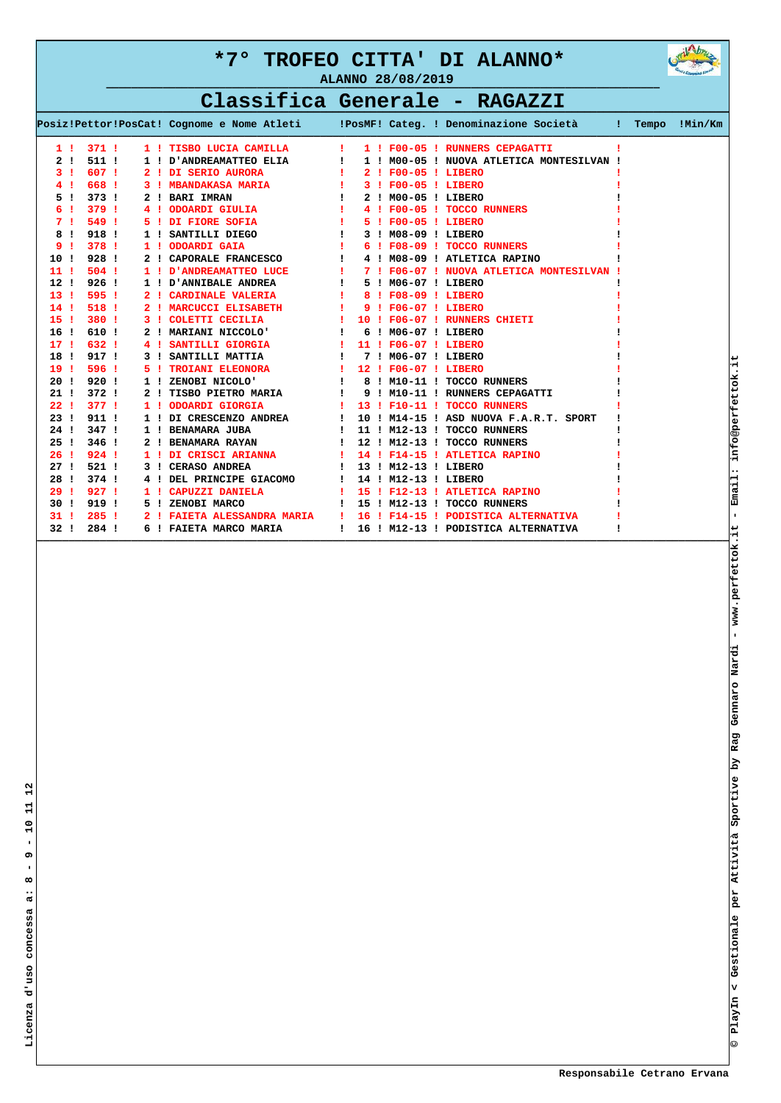

# **Classifica Generale - RAGAZZI**

|                    |                  |    |                                                     |                          |  |                      | Posiz!Pettor!PosCat! Cognome e Nome Atleti (PosMF! Categ. ! Denominazione Società ! |  | Tempo !Min/Km |
|--------------------|------------------|----|-----------------------------------------------------|--------------------------|--|----------------------|-------------------------------------------------------------------------------------|--|---------------|
| 11                 | 3711             |    | 1 ! TISBO LUCIA CAMILLA                             |                          |  |                      | 1 ! F00-05 ! RUNNERS CEPAGATTI                                                      |  |               |
| 2<br>$\mathbf{I}$  | 511 !            |    | 1 ! D'ANDREAMATTEO ELIA                             | ÷                        |  |                      | 1 ! M00-05 ! NUOVA ATLETICA MONTESILVAN !                                           |  |               |
| з.                 | 607 !            |    | 2 ! DI SERIO AURORA                                 |                          |  | 2 ! F00-05 ! LIBERO  |                                                                                     |  |               |
|                    | 668 !            |    | 3 ! MBANDAKASA MARIA                                | $\sim$ 1.000 $\pm$       |  | 3 ! F00-05 ! LIBERO  |                                                                                     |  |               |
| 5.<br>$\mathbf{I}$ | 373.1            |    | 2 ! BARI IMRAN                                      |                          |  | 2 ! M00-05 ! LIBERO  |                                                                                     |  |               |
| 6<br>- 1           | 379!             |    | 4 ! ODOARDI GIULIA                                  | $\sim 100$               |  |                      | 4 ! F00-05 ! TOCCO RUNNERS                                                          |  |               |
| 71                 | 549!             |    | 5 ! DI FIORE SOFIA                                  | <b>Contract Contract</b> |  | 5 ! F00-05 ! LIBERO  |                                                                                     |  |               |
| 8<br>$\mathbf{I}$  | 918!             |    | 1 ! SANTILLI DIEGO                                  |                          |  | 3 ! M08-09 ! LIBERO  |                                                                                     |  |               |
| 9.<br>- 1          | 378 1            |    | 1 ! ODOARDI GAIA                                    | $\sim 10^{-1}$           |  |                      | 6 ! F08-09 ! TOCCO RUNNERS                                                          |  |               |
| 10!                | 928 !            |    | 2 ! CAPORALE FRANCESCO                              |                          |  |                      | 4 ! M08-09 ! ATLETICA RAPINO                                                        |  |               |
| 11 <sub>1</sub>    | $504$ !          |    | 1 ! D'ANDREAMATTEO LUCE<br><b>Contract District</b> |                          |  |                      | 7 ! F06-07 ! NUOVA ATLETICA MONTESILVAN !                                           |  |               |
| 12!                | $926$ !          |    | 1 ! D'ANNIBALE ANDREA                               |                          |  | 5 ! M06-07 ! LIBERO  |                                                                                     |  |               |
| 13 <sub>1</sub>    | 595 1            |    | 2 ! CARDINALE VALERIA                               |                          |  | 8 ! F08-09 ! LIBERO  |                                                                                     |  |               |
| 14!                | 518 !            |    | 2 ! MARCUCCI ELISABETH                              |                          |  | 9 ! F06-07 ! LIBERO  |                                                                                     |  |               |
| 15 <sub>1</sub>    | 380 1            |    | 3 ! COLETTI CECILIA                                 |                          |  |                      | 10 ! F06-07 ! RUNNERS CHIETI                                                        |  |               |
| 16 <sub>1</sub>    | 610 !            |    | 2 ! MARIANI NICCOLO'                                |                          |  | 6 ! M06-07 ! LIBERO  |                                                                                     |  |               |
| 17 <sub>1</sub>    | 632 !            |    | 4 ! SANTILLI GIORGIA                                | $\sim 1$                 |  | 11 ! F06-07 ! LIBERO |                                                                                     |  |               |
| 18!                | 917 !            |    | 3 ! SANTILLI MATTIA                                 | $\mathbf{I}$             |  | 7 ! M06-07 ! LIBERO  |                                                                                     |  |               |
| 19!                | 596 !            | 51 | <b>TROIANI ELEONORA</b>                             | - 11                     |  | 12 ! F06-07 ! LIBERO |                                                                                     |  |               |
| 20 <sub>1</sub>    | 920 !            |    | 1 ! ZENOBI NICOLO'                                  | $\mathbf{I}$             |  |                      | 8 ! M10-11 ! TOCCO RUNNERS                                                          |  |               |
| 21:                | $372$ !          |    | 2 ! TISBO PIETRO MARIA                              |                          |  |                      | 9 ! M10-11 ! RUNNERS CEPAGATTI                                                      |  |               |
| 22 <sub>1</sub>    | 3771             | 11 | ODOARDI GIORGIA                                     | <b>Contract Contract</b> |  |                      | 13 ! F10-11 ! TOCCO RUNNERS                                                         |  |               |
| 23!                | 911:             |    | 1 ! DI CRESCENZO ANDREA<br><b>State State</b>       |                          |  |                      | 10 ! M14-15 ! ASD NUOVA F.A.R.T. SPORT                                              |  |               |
| 24 !               | 347 !            |    | 1 ! BENAMARA JUBA                                   | $\mathbf{I}$             |  |                      | 11 ! M12-13 ! TOCCO RUNNERS                                                         |  |               |
| 25 <sub>1</sub>    | 346 !            |    | 2 ! BENAMARA RAYAN                                  | $\blacksquare$           |  |                      | 12 ! M12-13 ! TOCCO RUNNERS                                                         |  |               |
| 26 <sub>1</sub>    | 924 <sub>1</sub> |    | 1 ! DI CRISCI ARIANNA                               |                          |  |                      | 14 ! F14-15 ! ATLETICA RAPINO                                                       |  |               |
| 27 <sub>1</sub>    | 521!             |    | 3 ! CERASO ANDREA                                   | $\mathbf{I}$             |  | 13 ! M12-13 ! LIBERO |                                                                                     |  |               |
| 28!                | 374 !            |    | 4 ! DEL PRINCIPE GIACOMO                            | $\mathbf{I}$             |  | 14 ! M12-13 ! LIBERO |                                                                                     |  |               |
| 29:1               | 927!             |    | 1 ! CAPUZZI DANIELA                                 | $\mathbf{I}$             |  |                      | 15 ! F12-13 ! ATLETICA RAPINO                                                       |  |               |
| 30 I               | 919!             | 51 | ZENOBI MARCO                                        | $\mathbf{I}$             |  |                      | 15 ! M12-13 ! TOCCO RUNNERS                                                         |  |               |
| 31!                | $285$ !          |    | 2 ! FAIETA ALESSANDRA MARIA                         |                          |  |                      | 16 ! F14-15 ! PODISTICA ALTERNATIVA                                                 |  |               |
| 32!                | 284 !            |    | 6 ! FAIETA MARCO MARIA                              | $\mathbf{I}$             |  |                      | 16 ! M12-13 ! PODISTICA ALTERNATIVA                                                 |  |               |

**——————————————————————————————————————————————————————————————————————————————————————————————————————————————**

 $\mathbf{a}$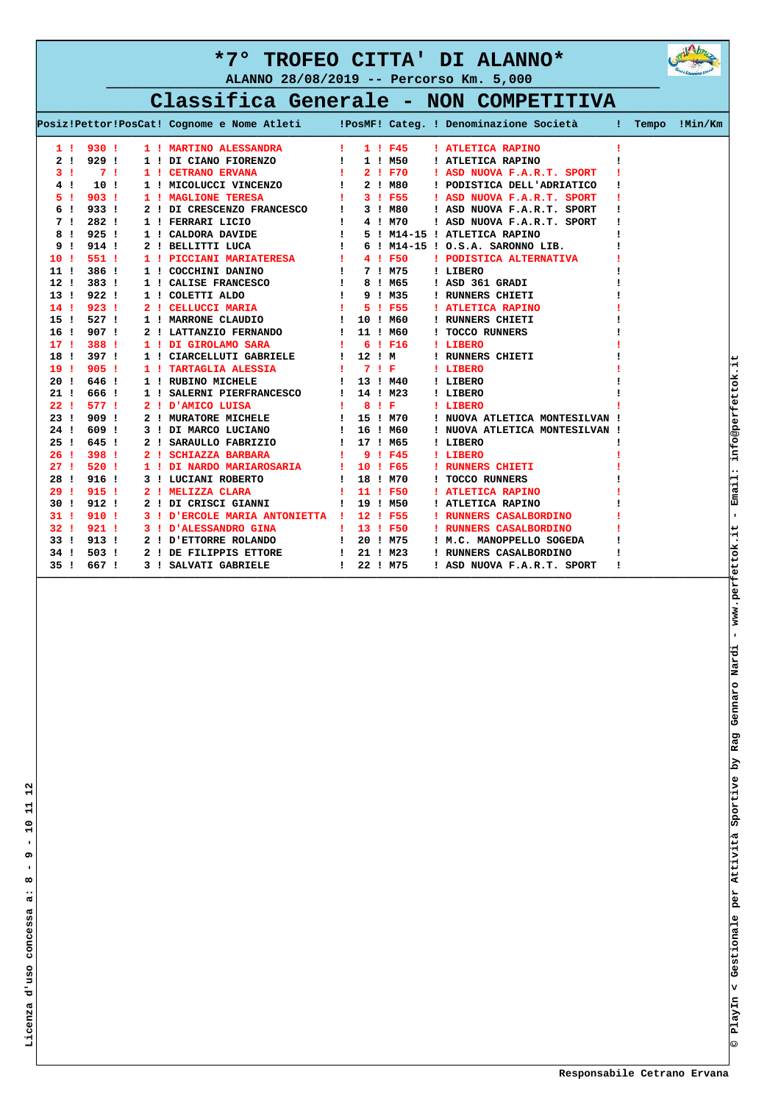**ALANNO 28/08/2019 -- Percorso Km. 5,000**



# **Classifica Generale - NON COMPETITIVA**

|                 |              |                  |     |                                 |                |        |             | Posiz!Pettor!PosCat! Cognome e Nome Atleti (PosMF! Categ. ! Denominazione Società : Tempo !Min/Km |  |  |
|-----------------|--------------|------------------|-----|---------------------------------|----------------|--------|-------------|---------------------------------------------------------------------------------------------------|--|--|
|                 | 11           | 930!             |     | 1 ! MARTINO ALESSANDRA          | u.             |        | 1 ! F45     | ! ATLETICA RAPINO                                                                                 |  |  |
|                 | 2!           | 929!             |     | 1 ! DI CIANO FIORENZO           | ÷.             |        | 1 ! M50     | ! ATLETICA RAPINO                                                                                 |  |  |
|                 | 31           | 7 <sub>1</sub>   |     | 1 ! CETRANO ERVANA              | Ŧ.             |        | 2 ! F70     | ! ASD NUOVA F.A.R.T. SPORT                                                                        |  |  |
|                 | 4!           | 10 !             |     | 1 ! MICOLUCCI VINCENZO          | $\mathbf{I}$   |        | 2 ! M80     | ! PODISTICA DELL'ADRIATICO                                                                        |  |  |
| 5.              | -1           | 903 <sub>1</sub> |     | 1 ! MAGLIONE TERESA             | Ŧ.             |        | 3 ! F55     | ! ASD NUOVA F.A.R.T. SPORT                                                                        |  |  |
| 6               | - 1          | 933!             |     | 2 ! DI CRESCENZO FRANCESCO      | $\mathbf{I}$   |        | 3 ! M80     | ! ASD NUOVA F.A.R.T. SPORT                                                                        |  |  |
|                 | 71           | $282$ !          |     | 1 ! FERRARI LICIO               | $\mathbf{I}$   |        | 4 ! M70     | ! ASD NUOVA F.A.R.T. SPORT                                                                        |  |  |
| 8               | $\mathbf{I}$ | 925.1            |     | 1 ! CALDORA DAVIDE              | $\mathbf{I}$   |        |             | 5 ! M14-15 ! ATLETICA RAPINO                                                                      |  |  |
|                 | 9!           | 914!             |     | 2 ! BELLITTI LUCA               | $\mathbf{I}$   |        |             | 6 ! M14-15 ! O.S.A. SARONNO LIB.                                                                  |  |  |
| 10 I            |              | 551 !            |     | 1 ! PICCIANI MARIATERESA        | $\mathbf{I}$   |        | 4 1 F50     | ! PODISTICA ALTERNATIVA                                                                           |  |  |
| 11 !            |              | 386 !            |     | 1 ! COCCHINI DANINO             | $\mathbf{I}$   |        | 7 ! M75     | ! LIBERO                                                                                          |  |  |
| 12!             |              | 383 !            |     | 1 ! CALISE FRANCESCO            | $\mathbf{I}$   |        | 8 ! M65     | ! ASD 361 GRADI                                                                                   |  |  |
| 13 !            |              | 922!             |     | 1 ! COLETTI ALDO                | $\mathbf{I}$   |        | 9 ! M35     | ! RUNNERS CHIETI                                                                                  |  |  |
| 14!             |              | 923 <sub>1</sub> | 21  | CELLUCCI MARIA                  | п.             |        | 5 1 F55     | ! ATLETICA RAPINO                                                                                 |  |  |
| 15!             |              | 527 !            |     | 1 ! MARRONE CLAUDIO             | $\mathbf{I}$   |        | 10 ! M60    | ! RUNNERS CHIETI                                                                                  |  |  |
| 16 <sub>1</sub> |              | 907!             |     | 2 ! LATTANZIO FERNANDO          | 1              |        | 11 ! M60    | ! TOCCO RUNNERS                                                                                   |  |  |
| 17 <sub>1</sub> |              | 388 !            |     | 1 ! DI GIROLAMO SARA            | Ţ.             |        | $6$ ! $F16$ | ! LIBERO                                                                                          |  |  |
| 18!             |              | 397!             |     | 1 ! CIARCELLUTI GABRIELE        | ÷              | 12 ! M |             | ! RUNNERS CHIETI                                                                                  |  |  |
| 19 <sub>1</sub> |              | 905!             | 1 ! | <b>TARTAGLIA ALESSIA</b>        | 1.             | 7 ! F  |             | ! LIBERO                                                                                          |  |  |
| 20 <sub>1</sub> |              | 646 !            |     | 1 ! RUBINO MICHELE              | $\mathbf{I}$   |        | 13 ! M40    | ! LIBERO                                                                                          |  |  |
| 21 !            |              | 666 !            |     | 1 ! SALERNI PIERFRANCESCO       | $\mathbf{I}$   |        | 14 ! M23    | ! LIBERO                                                                                          |  |  |
| 22 <sub>1</sub> |              | 577 !            |     | 2 ! D'AMICO LUISA               | л.             |        | 8 I F       | ! LIBERO                                                                                          |  |  |
| 23 !            |              | 909!             |     | 2 ! MURATORE MICHELE            | $\mathbf{I}$   |        | 15 ! M70    | ! NUOVA ATLETICA MONTESILVAN !                                                                    |  |  |
| 24 !            |              | 609!             |     | 3 ! DI MARCO LUCIANO            | $\mathbf{I}$   |        | 16 ! M60    | ! NUOVA ATLETICA MONTESILVAN !                                                                    |  |  |
| 25 <sub>1</sub> |              | 645!             |     | 2 ! SARAULLO FABRIZIO           | Ţ.             |        | 17 ! M65    | ! LIBERO                                                                                          |  |  |
| 26 !            |              | 398 !            |     | 2 ! SCHIAZZA BARBARA            | Π.             |        | 9 ! F45     | ! LIBERO                                                                                          |  |  |
| 27 <sub>1</sub> |              | 520 !            |     | 1 ! DI NARDO MARIAROSARIA       | л.             |        | 10 ! F65    | ! RUNNERS CHIETI                                                                                  |  |  |
| 28!             |              | 916 !            |     | 3 ! LUCIANI ROBERTO             | $\mathbf{I}$   |        | 18 ! M70    | ! TOCCO RUNNERS                                                                                   |  |  |
| 29:1            |              | 915!             |     | 2 ! MELIZZA CLARA               | Ŧ.             |        | 11 ! F50    | ! ATLETICA RAPINO                                                                                 |  |  |
| 30 I            |              | 912:             |     | 2 ! DI CRISCI GIANNI            | Ţ.             |        | 19 ! M50    | ! ATLETICA RAPINO                                                                                 |  |  |
| 31!             |              | 910 !            |     | 3 ! D'ERCOLE MARIA ANTONIETTA ! |                |        | 12 ! F55    | ! RUNNERS CASALBORDINO                                                                            |  |  |
| 32 <sub>1</sub> |              | 9211             |     | 3 ! D'ALESSANDRO GINA           | п.             |        | 13 ! F50    | ! RUNNERS CASALBORDINO                                                                            |  |  |
| 33!             |              | 913!             |     | 2 ! ETTORRE ROLANDO             | Τ.             |        | 20 ! M75    | ! M.C. MANOPPELLO SOGEDA                                                                          |  |  |
| 34 !            |              | 503 !            |     | 2 ! DE FILIPPIS ETTORE          | $\mathbf{I}$ . |        | 21 ! M23    | ! RUNNERS CASALBORDINO                                                                            |  |  |
| 35 <sub>1</sub> |              | 667 !            |     | 3 ! SALVATI GABRIELE            | I.             |        | 22 ! M75    | ! ASD NUOVA F.A.R.T. SPORT                                                                        |  |  |

**——————————————————————————————————————————————————————————————————————————————————————————————————————————————**

 **Responsabile Cetrano Ervana**

**© PlayIn < Gestionale per Attività Sportive by Rag Gennaro Nardi - www.perfettok.it - Email: info@perfettok.it**